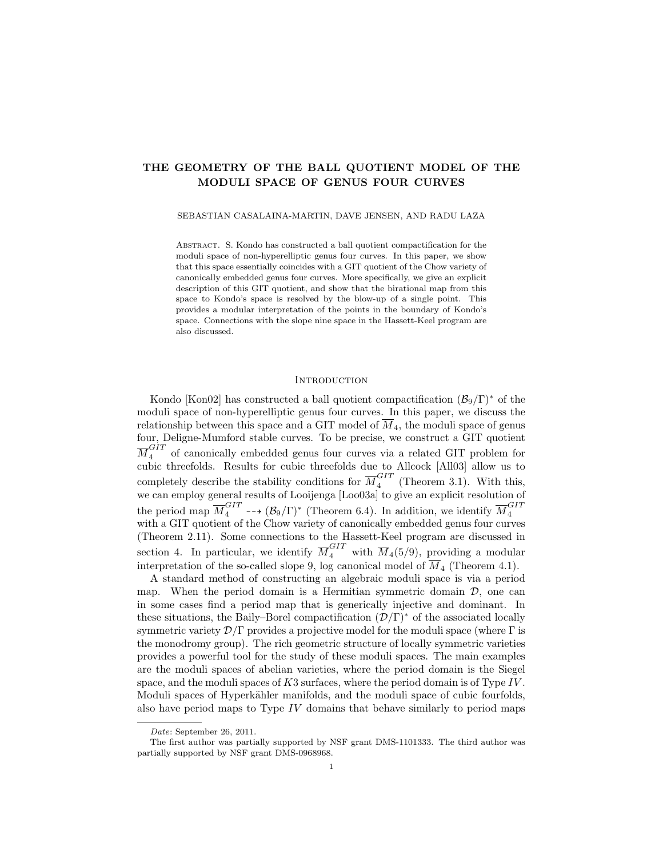# THE GEOMETRY OF THE BALL QUOTIENT MODEL OF THE MODULI SPACE OF GENUS FOUR CURVES

SEBASTIAN CASALAINA-MARTIN, DAVE JENSEN, AND RADU LAZA

ABSTRACT. S. Kondo has constructed a ball quotient compactification for the moduli space of non-hyperelliptic genus four curves. In this paper, we show that this space essentially coincides with a GIT quotient of the Chow variety of canonically embedded genus four curves. More specifically, we give an explicit description of this GIT quotient, and show that the birational map from this space to Kondo's space is resolved by the blow-up of a single point. This provides a modular interpretation of the points in the boundary of Kondo's space. Connections with the slope nine space in the Hassett-Keel program are also discussed.

### **INTRODUCTION**

Kondo [Kon02] has constructed a ball quotient compactification  $(\mathcal{B}_9/\Gamma)^*$  of the moduli space of non-hyperelliptic genus four curves. In this paper, we discuss the relationship between this space and a GIT model of  $M<sub>4</sub>$ , the moduli space of genus four, Deligne-Mumford stable curves. To be precise, we construct a GIT quotient  $\overline{M}_4^{GIT}$  of canonically embedded genus four curves via a related GIT problem for cubic threefolds. Results for cubic threefolds due to Allcock [All03] allow us to completely describe the stability conditions for  $\overline{M}_4^{GIT}$  $_{4}^{\text{O11}}$  (Theorem 3.1). With this, we can employ general results of Looijenga [Loo03a] to give an explicit resolution of the period map  $\overline{M}_4^{GIT}$  --+  $(\mathcal{B}_9/\Gamma)^*$  (Theorem 6.4). In addition, we identify  $\overline{M}_4^{GIT}$ 4 with a GIT quotient of the Chow variety of canonically embedded genus four curves (Theorem 2.11). Some connections to the Hassett-Keel program are discussed in section 4. In particular, we identify  $\overline{M}_4^{GIT}$  with  $\overline{M}_4(5/9)$ , providing a modular interpretation of the so-called slope 9, log canonical model of  $M<sub>4</sub>$  (Theorem 4.1).

A standard method of constructing an algebraic moduli space is via a period map. When the period domain is a Hermitian symmetric domain  $\mathcal{D}$ , one can in some cases find a period map that is generically injective and dominant. In these situations, the Baily–Borel compactification  $(\mathcal{D}/\Gamma)^*$  of the associated locally symmetric variety  $\mathcal{D}/\Gamma$  provides a projective model for the moduli space (where  $\Gamma$  is the monodromy group). The rich geometric structure of locally symmetric varieties provides a powerful tool for the study of these moduli spaces. The main examples are the moduli spaces of abelian varieties, where the period domain is the Siegel space, and the moduli spaces of  $K3$  surfaces, where the period domain is of Type IV. Moduli spaces of Hyperkähler manifolds, and the moduli space of cubic fourfolds, also have period maps to Type  $IV$  domains that behave similarly to period maps

Date: September 26, 2011.

The first author was partially supported by NSF grant DMS-1101333. The third author was partially supported by NSF grant DMS-0968968.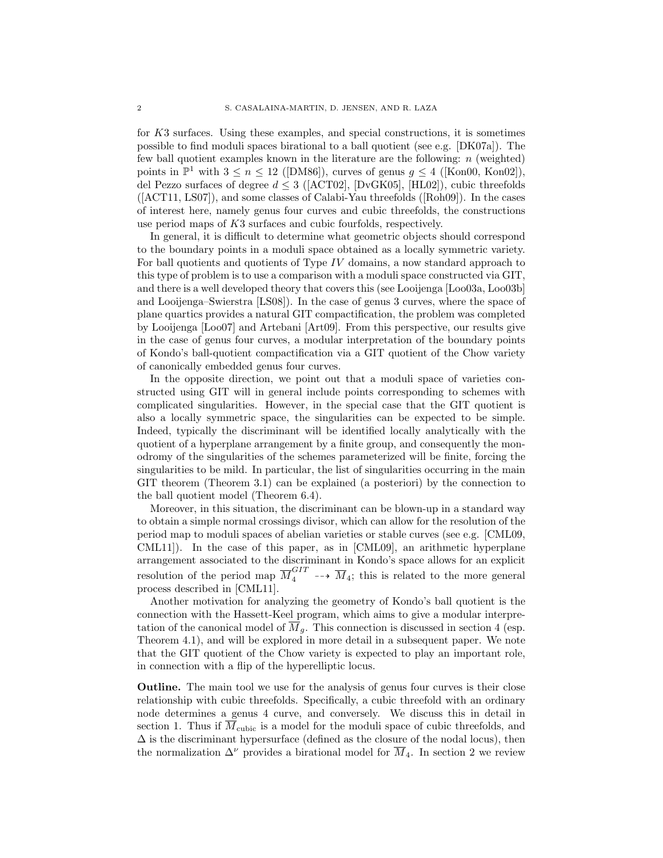for K3 surfaces. Using these examples, and special constructions, it is sometimes possible to find moduli spaces birational to a ball quotient (see e.g. [DK07a]). The few ball quotient examples known in the literature are the following:  $n$  (weighted) points in  $\mathbb{P}^1$  with  $3 \le n \le 12$  ([DM86]), curves of genus  $g \le 4$  ([Kon00, Kon02]), del Pezzo surfaces of degree  $d \leq 3$  ([ACT02], [DvGK05], [HL02]), cubic threefolds ([ACT11, LS07]), and some classes of Calabi-Yau threefolds ([Roh09]). In the cases of interest here, namely genus four curves and cubic threefolds, the constructions use period maps of K3 surfaces and cubic fourfolds, respectively.

In general, it is difficult to determine what geometric objects should correspond to the boundary points in a moduli space obtained as a locally symmetric variety. For ball quotients and quotients of Type IV domains, a now standard approach to this type of problem is to use a comparison with a moduli space constructed via GIT, and there is a well developed theory that covers this (see Looijenga [Loo03a, Loo03b] and Looijenga–Swierstra [LS08]). In the case of genus 3 curves, where the space of plane quartics provides a natural GIT compactification, the problem was completed by Looijenga [Loo07] and Artebani [Art09]. From this perspective, our results give in the case of genus four curves, a modular interpretation of the boundary points of Kondo's ball-quotient compactification via a GIT quotient of the Chow variety of canonically embedded genus four curves.

In the opposite direction, we point out that a moduli space of varieties constructed using GIT will in general include points corresponding to schemes with complicated singularities. However, in the special case that the GIT quotient is also a locally symmetric space, the singularities can be expected to be simple. Indeed, typically the discriminant will be identified locally analytically with the quotient of a hyperplane arrangement by a finite group, and consequently the monodromy of the singularities of the schemes parameterized will be finite, forcing the singularities to be mild. In particular, the list of singularities occurring in the main GIT theorem (Theorem 3.1) can be explained (a posteriori) by the connection to the ball quotient model (Theorem 6.4).

Moreover, in this situation, the discriminant can be blown-up in a standard way to obtain a simple normal crossings divisor, which can allow for the resolution of the period map to moduli spaces of abelian varieties or stable curves (see e.g. [CML09, CML11]). In the case of this paper, as in [CML09], an arithmetic hyperplane arrangement associated to the discriminant in Kondo's space allows for an explicit resolution of the period map  $\overline{M}_4^{GIT} \dashrightarrow \overline{M}_4$ ; this is related to the more general process described in [CML11].

Another motivation for analyzing the geometry of Kondo's ball quotient is the connection with the Hassett-Keel program, which aims to give a modular interpretation of the canonical model of  $\overline{M}_q$ . This connection is discussed in section 4 (esp. Theorem 4.1), and will be explored in more detail in a subsequent paper. We note that the GIT quotient of the Chow variety is expected to play an important role, in connection with a flip of the hyperelliptic locus.

Outline. The main tool we use for the analysis of genus four curves is their close relationship with cubic threefolds. Specifically, a cubic threefold with an ordinary node determines a genus 4 curve, and conversely. We discuss this in detail in section 1. Thus if  $\overline{M}_{\text{cubic}}$  is a model for the moduli space of cubic threefolds, and  $\Delta$  is the discriminant hypersurface (defined as the closure of the nodal locus), then the normalization  $\Delta^{\nu}$  provides a birational model for  $\overline{M}_{4}$ . In section 2 we review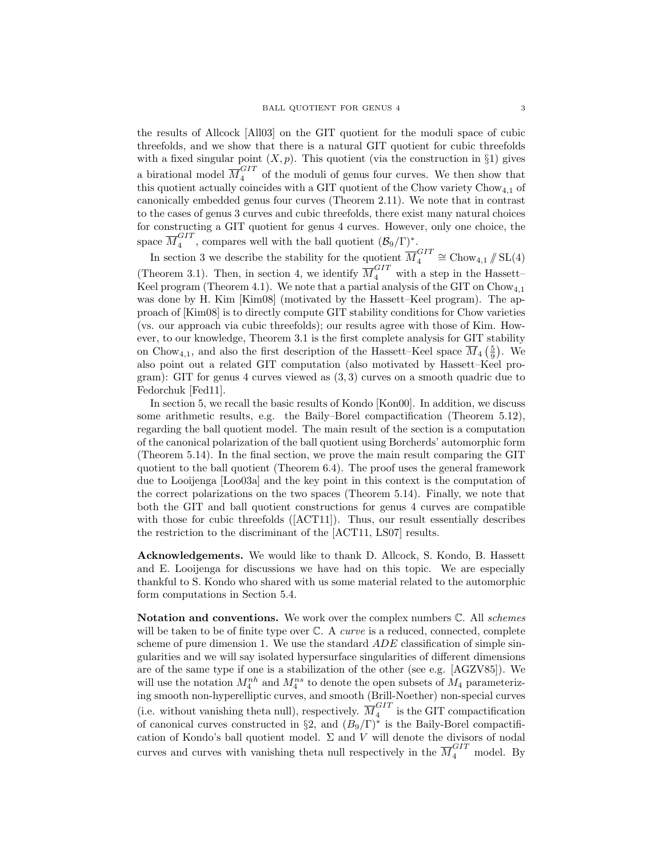the results of Allcock [All03] on the GIT quotient for the moduli space of cubic threefolds, and we show that there is a natural GIT quotient for cubic threefolds with a fixed singular point  $(X, p)$ . This quotient (via the construction in §1) gives a birational model  $\overline{M}_4^{GIT}$  of the moduli of genus four curves. We then show that this quotient actually coincides with a GIT quotient of the Chow variety  $Chow_{4,1}$  of canonically embedded genus four curves (Theorem 2.11). We note that in contrast to the cases of genus 3 curves and cubic threefolds, there exist many natural choices for constructing a GIT quotient for genus 4 curves. However, only one choice, the space  $\overline{M}_4^{GIT}$  $\mathcal{L}_4^{GII}$ , compares well with the ball quotient  $(\mathcal{B}_9/\Gamma)^*$ .

In section 3 we describe the stability for the quotient  $\overline{M}_4^{GIT}$  $_{4}^{GIT} \cong \text{Chow}_{4,1} \# \text{SL}(4)$ (Theorem 3.1). Then, in section 4, we identify  $\overline{M}_4^{GIT}$  with a step in the Hassett-Keel program (Theorem 4.1). We note that a partial analysis of the GIT on  $Chow_{4,1}$ was done by H. Kim [Kim08] (motivated by the Hassett–Keel program). The approach of [Kim08] is to directly compute GIT stability conditions for Chow varieties (vs. our approach via cubic threefolds); our results agree with those of Kim. However, to our knowledge, Theorem 3.1 is the first complete analysis for GIT stability on Chow<sub>4,1</sub>, and also the first description of the Hassett–Keel space  $\overline{M}_{4}\left(\frac{5}{9}\right)$ . We also point out a related GIT computation (also motivated by Hassett–Keel program): GIT for genus 4 curves viewed as (3, 3) curves on a smooth quadric due to Fedorchuk [Fed11].

In section 5, we recall the basic results of Kondo [Kon00]. In addition, we discuss some arithmetic results, e.g. the Baily–Borel compactification (Theorem 5.12), regarding the ball quotient model. The main result of the section is a computation of the canonical polarization of the ball quotient using Borcherds' automorphic form (Theorem 5.14). In the final section, we prove the main result comparing the GIT quotient to the ball quotient (Theorem 6.4). The proof uses the general framework due to Looijenga [Loo03a] and the key point in this context is the computation of the correct polarizations on the two spaces (Theorem 5.14). Finally, we note that both the GIT and ball quotient constructions for genus 4 curves are compatible with those for cubic threefolds ([ACT11]). Thus, our result essentially describes the restriction to the discriminant of the [ACT11, LS07] results.

Acknowledgements. We would like to thank D. Allcock, S. Kondo, B. Hassett and E. Looijenga for discussions we have had on this topic. We are especially thankful to S. Kondo who shared with us some material related to the automorphic form computations in Section 5.4.

Notation and conventions. We work over the complex numbers  $\mathbb{C}$ . All schemes will be taken to be of finite type over  $\mathbb{C}$ . A *curve* is a reduced, connected, complete scheme of pure dimension 1. We use the standard  $ADE$  classification of simple singularities and we will say isolated hypersurface singularities of different dimensions are of the same type if one is a stabilization of the other (see e.g. [AGZV85]). We will use the notation  $M_4^{nh}$  and  $M_4^{ns}$  to denote the open subsets of  $M_4$  parameterizing smooth non-hyperelliptic curves, and smooth (Brill-Noether) non-special curves (i.e. without vanishing theta null), respectively.  $\overline{M}_4^{GIT}$  $\frac{1}{4}$  is the GIT compactification of canonical curves constructed in §2, and  $(B_9/\Gamma)^*$  is the Baily-Borel compactification of Kondo's ball quotient model.  $\Sigma$  and  $V$  will denote the divisors of nodal curves and curves with vanishing theta null respectively in the  $\overline{M}_4^{GIT}$  model. By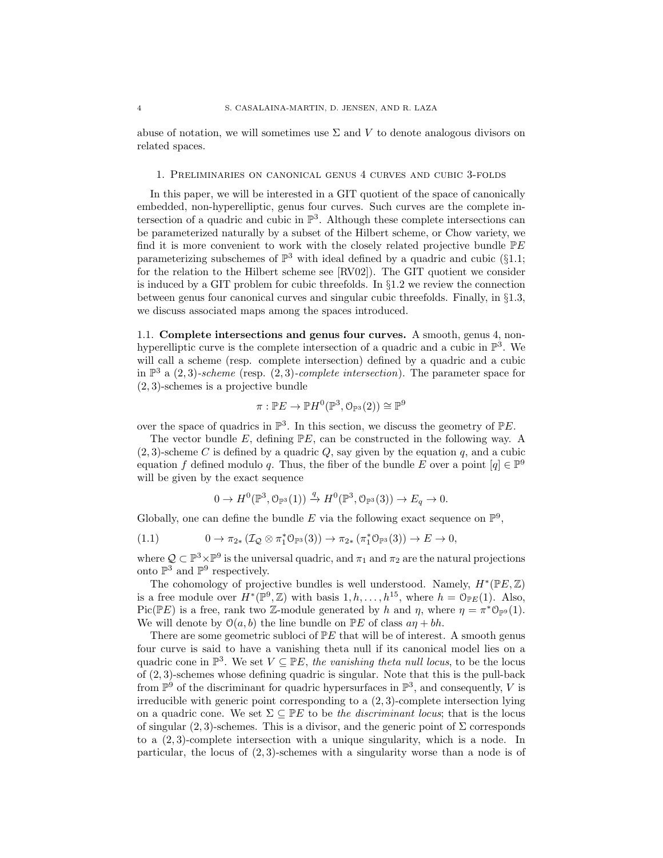abuse of notation, we will sometimes use  $\Sigma$  and V to denote analogous divisors on related spaces.

#### 1. Preliminaries on canonical genus 4 curves and cubic 3-folds

In this paper, we will be interested in a GIT quotient of the space of canonically embedded, non-hyperelliptic, genus four curves. Such curves are the complete intersection of a quadric and cubic in  $\mathbb{P}^3$ . Although these complete intersections can be parameterized naturally by a subset of the Hilbert scheme, or Chow variety, we find it is more convenient to work with the closely related projective bundle  $\mathbb{P}E$ parameterizing subschemes of  $\mathbb{P}^3$  with ideal defined by a quadric and cubic (§1.1; for the relation to the Hilbert scheme see [RV02]). The GIT quotient we consider is induced by a GIT problem for cubic threefolds. In §1.2 we review the connection between genus four canonical curves and singular cubic threefolds. Finally, in §1.3, we discuss associated maps among the spaces introduced.

1.1. Complete intersections and genus four curves. A smooth, genus 4, nonhyperelliptic curve is the complete intersection of a quadric and a cubic in  $\mathbb{P}^3$ . We will call a scheme (resp. complete intersection) defined by a quadric and a cubic in  $\mathbb{P}^3$  a  $(2,3)$ -scheme (resp.  $(2,3)$ -complete intersection). The parameter space for (2, 3)-schemes is a projective bundle

$$
\pi: \mathbb{P} E \to \mathbb{P} H^0(\mathbb{P}^3, \mathbb{O}_{\mathbb{P}^3}(2)) \cong \mathbb{P}^9
$$

over the space of quadrics in  $\mathbb{P}^3$ . In this section, we discuss the geometry of  $\mathbb{P}E$ .

The vector bundle E, defining  $\mathbb{P}E$ , can be constructed in the following way. A  $(2, 3)$ -scheme C is defined by a quadric Q, say given by the equation q, and a cubic equation f defined modulo q. Thus, the fiber of the bundle E over a point  $[q] \in \mathbb{P}^9$ will be given by the exact sequence

$$
0 \to H^0(\mathbb{P}^3, \mathcal{O}_{\mathbb{P}^3}(1)) \xrightarrow{q} H^0(\mathbb{P}^3, \mathcal{O}_{\mathbb{P}^3}(3)) \to E_q \to 0.
$$

Globally, one can define the bundle E via the following exact sequence on  $\mathbb{P}^9$ ,

(1.1) 
$$
0 \to \pi_{2*} (\mathcal{I}_{\mathcal{Q}} \otimes \pi_1^* \mathbb{O}_{\mathbb{P}^3}(3)) \to \pi_{2*} (\pi_1^* \mathbb{O}_{\mathbb{P}^3}(3)) \to E \to 0,
$$

where  $\mathcal{Q} \subset \mathbb{P}^3 \times \mathbb{P}^9$  is the universal quadric, and  $\pi_1$  and  $\pi_2$  are the natural projections onto  $\mathbb{P}^3$  and  $\mathbb{P}^9$  respectively.

The cohomology of projective bundles is well understood. Namely,  $H^*(\mathbb{P}E, \mathbb{Z})$ is a free module over  $H^*(\mathbb{P}^9, \mathbb{Z})$  with basis  $1, h, \ldots, h^{15}$ , where  $h = \mathcal{O}_{\mathbb{P}E}(1)$ . Also, Pic( $\mathbb{P}E$ ) is a free, rank two Z-module generated by h and  $\eta$ , where  $\eta = \pi^* \mathbb{O}_{\mathbb{P}^9}(1)$ . We will denote by  $\mathcal{O}(a, b)$  the line bundle on  $\mathbb{P} E$  of class  $a\eta + bh$ .

There are some geometric subloci of  $P E$  that will be of interest. A smooth genus four curve is said to have a vanishing theta null if its canonical model lies on a quadric cone in  $\mathbb{P}^3$ . We set  $V \subseteq \mathbb{P}E$ , the vanishing theta null locus, to be the locus of (2, 3)-schemes whose defining quadric is singular. Note that this is the pull-back from  $\mathbb{P}^9$  of the discriminant for quadric hypersurfaces in  $\mathbb{P}^3$ , and consequently, V is irreducible with generic point corresponding to a (2, 3)-complete intersection lying on a quadric cone. We set  $\Sigma \subseteq \mathbb{P}E$  to be the discriminant locus; that is the locus of singular  $(2, 3)$ -schemes. This is a divisor, and the generic point of  $\Sigma$  corresponds to a  $(2, 3)$ -complete intersection with a unique singularity, which is a node. In particular, the locus of (2, 3)-schemes with a singularity worse than a node is of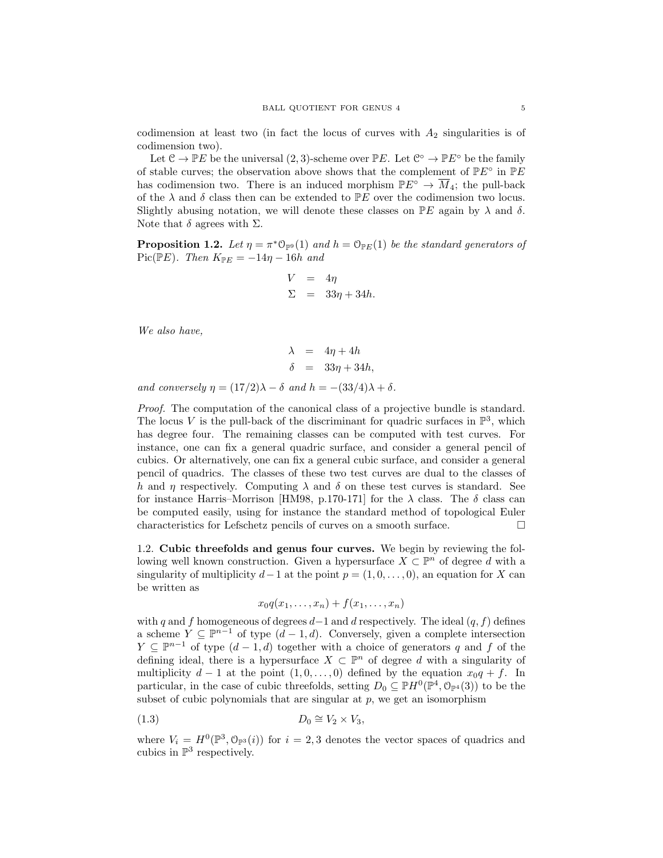codimension at least two (in fact the locus of curves with  $A_2$  singularities is of codimension two).

Let  $\mathcal{C} \to \mathbb{P}E$  be the universal  $(2,3)$ -scheme over  $\mathbb{P}E$ . Let  $\mathcal{C}^{\circ} \to \mathbb{P}E^{\circ}$  be the family of stable curves; the observation above shows that the complement of  $\mathbb{P}E^{\circ}$  in  $\mathbb{P}E$ has codimension two. There is an induced morphism  $\mathbb{P}E^{\circ} \to \overline{M}_4$ ; the pull-back of the  $\lambda$  and  $\delta$  class then can be extended to PE over the codimension two locus. Slightly abusing notation, we will denote these classes on  $\mathbb{P}E$  again by  $\lambda$  and  $\delta$ . Note that  $\delta$  agrees with  $\Sigma.$ 

**Proposition 1.2.** Let  $\eta = \pi^* \mathbb{O}_{\mathbb{P}^9}(1)$  and  $h = \mathbb{O}_{\mathbb{P}E}(1)$  be the standard generators of Pic( $\mathbb{P}E$ ). Then  $K_{\mathbb{P}E} = -14\eta - 16h$  and

$$
V = 4\eta
$$
  

$$
\Sigma = 33\eta + 34h.
$$

We also have,

$$
\begin{array}{rcl}\n\lambda & = & 4\eta + 4h \\
\delta & = & 33\eta + 34h,\n\end{array}
$$

and conversely  $\eta = (17/2)\lambda - \delta$  and  $h = -(33/4)\lambda + \delta$ .

Proof. The computation of the canonical class of a projective bundle is standard. The locus V is the pull-back of the discriminant for quadric surfaces in  $\mathbb{P}^3$ , which has degree four. The remaining classes can be computed with test curves. For instance, one can fix a general quadric surface, and consider a general pencil of cubics. Or alternatively, one can fix a general cubic surface, and consider a general pencil of quadrics. The classes of these two test curves are dual to the classes of h and  $\eta$  respectively. Computing  $\lambda$  and  $\delta$  on these test curves is standard. See for instance Harris–Morrison [HM98, p.170-171] for the  $\lambda$  class. The  $\delta$  class can be computed easily, using for instance the standard method of topological Euler characteristics for Lefschetz pencils of curves on a smooth surface.  $\Box$ 

1.2. Cubic threefolds and genus four curves. We begin by reviewing the following well known construction. Given a hypersurface  $X \subset \mathbb{P}^n$  of degree d with a singularity of multiplicity  $d-1$  at the point  $p = (1, 0, \ldots, 0)$ , an equation for X can be written as

$$
x_0q(x_1,\ldots,x_n)+f(x_1,\ldots,x_n)
$$

with q and f homogeneous of degrees  $d-1$  and d respectively. The ideal  $(q, f)$  defines a scheme  $Y \subseteq \mathbb{P}^{n-1}$  of type  $(d-1,d)$ . Conversely, given a complete intersection  $Y \subseteq \mathbb{P}^{n-1}$  of type  $(d-1, d)$  together with a choice of generators q and f of the defining ideal, there is a hypersurface  $X \subset \mathbb{P}^n$  of degree d with a singularity of multiplicity  $d-1$  at the point  $(1,0,\ldots,0)$  defined by the equation  $x_0q+f$ . In particular, in the case of cubic threefolds, setting  $D_0 \subseteq \mathbb{P}H^0(\mathbb{P}^4, \mathbb{O}_{\mathbb{P}^4}(3))$  to be the subset of cubic polynomials that are singular at  $p$ , we get an isomorphism

$$
(1.3) \t\t D_0 \cong V_2 \times V_3,
$$

where  $V_i = H^0(\mathbb{P}^3, \mathbb{O}_{\mathbb{P}^3}(i))$  for  $i = 2, 3$  denotes the vector spaces of quadrics and cubics in  $\mathbb{P}^3$  respectively.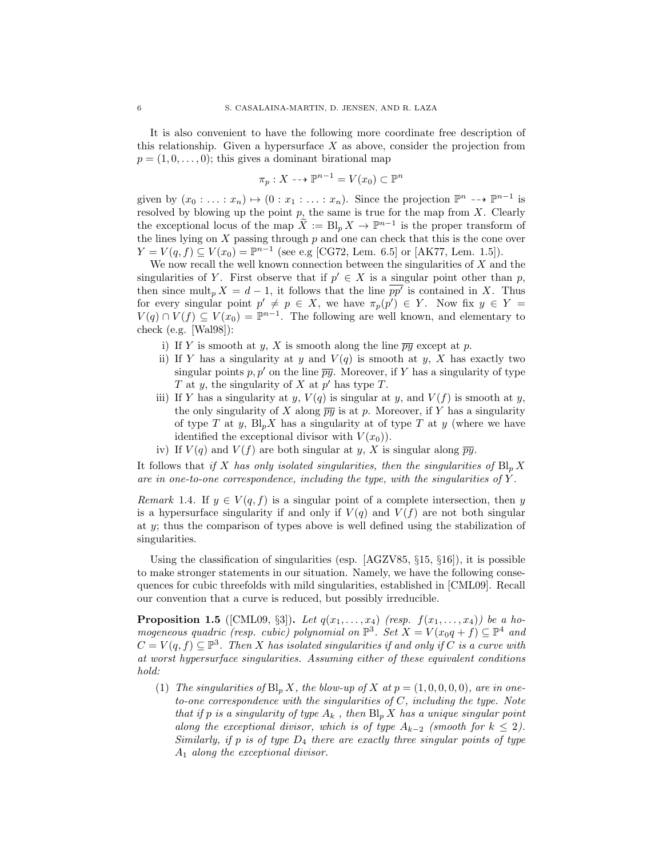It is also convenient to have the following more coordinate free description of this relationship. Given a hypersurface  $X$  as above, consider the projection from  $p = (1, 0, \ldots, 0);$  this gives a dominant birational map

$$
\pi_p: X \dashrightarrow \mathbb{P}^{n-1} = V(x_0) \subset \mathbb{P}^n
$$

given by  $(x_0 : \ldots : x_n) \mapsto (0 : x_1 : \ldots : x_n)$ . Since the projection  $\mathbb{P}^n \dashrightarrow \mathbb{P}^{n-1}$  is resolved by blowing up the point  $p$ , the same is true for the map from  $X$ . Clearly the exceptional locus of the map  $\widetilde{X} := B \vert_p X \to \mathbb{P}^{n-1}$  is the proper transform of the lines lying on  $X$  passing through  $p$  and one can check that this is the cone over  $Y = V(q, f) \subseteq V(x_0) = \mathbb{P}^{n-1}$  (see e.g [CG72, Lem. 6.5] or [AK77, Lem. 1.5]).

We now recall the well known connection between the singularities of  $X$  and the singularities of Y. First observe that if  $p' \in X$  is a singular point other than p, then since mult<sub>p</sub>  $X = d - 1$ , it follows that the line  $\overline{pp'}$  is contained in X. Thus for every singular point  $p' \neq p \in X$ , we have  $\pi_p(p') \in Y$ . Now fix  $y \in Y =$  $V(q) \cap V(f) \subseteq V(x_0) = \mathbb{P}^{n-1}$ . The following are well known, and elementary to check (e.g. [Wal98]):

- i) If Y is smooth at y, X is smooth along the line  $\overline{py}$  except at p.
- ii) If Y has a singularity at y and  $V(q)$  is smooth at y, X has exactly two singular points p, p' on the line  $\overline{py}$ . Moreover, if Y has a singularity of type T at y, the singularity of X at  $p'$  has type T.
- iii) If Y has a singularity at y,  $V(q)$  is singular at y, and  $V(f)$  is smooth at y, the only singularity of X along  $\overline{py}$  is at p. Moreover, if Y has a singularity of type T at y,  $Bl_p X$  has a singularity at of type T at y (where we have identified the exceptional divisor with  $V(x_0)$ .
- iv) If  $V(q)$  and  $V(f)$  are both singular at y, X is singular along  $\overline{py}$ .

It follows that if X has only isolated singularities, then the singularities of  $\text{Bl}_n X$ are in one-to-one correspondence, including the type, with the singularities of  $Y$ .

Remark 1.4. If  $y \in V(q, f)$  is a singular point of a complete intersection, then y is a hypersurface singularity if and only if  $V(q)$  and  $V(f)$  are not both singular at y; thus the comparison of types above is well defined using the stabilization of singularities.

Using the classification of singularities (esp. [AGZV85, §15, §16]), it is possible to make stronger statements in our situation. Namely, we have the following consequences for cubic threefolds with mild singularities, established in [CML09]. Recall our convention that a curve is reduced, but possibly irreducible.

**Proposition 1.5** ([CML09, §3]). Let  $q(x_1, \ldots, x_4)$  (resp.  $f(x_1, \ldots, x_4)$ ) be a homogeneous quadric (resp. cubic) polynomial on  $\mathbb{P}^3$ . Set  $X = V(x_0q + f) \subseteq \mathbb{P}^4$  and  $C = V(q, f) \subseteq \mathbb{P}^3$ . Then X has isolated singularities if and only if C is a curve with at worst hypersurface singularities. Assuming either of these equivalent conditions hold:

(1) The singularities of  $Bl_p X$ , the blow-up of X at  $p = (1, 0, 0, 0, 0)$ , are in oneto-one correspondence with the singularities of  $C$ , including the type. Note that if p is a singularity of type  $A_k$ , then  $\text{Bl}_p X$  has a unique singular point along the exceptional divisor, which is of type  $A_{k-2}$  (smooth for  $k \leq 2$ ). Similarly, if p is of type  $D_4$  there are exactly three singular points of type  $A_1$  along the exceptional divisor.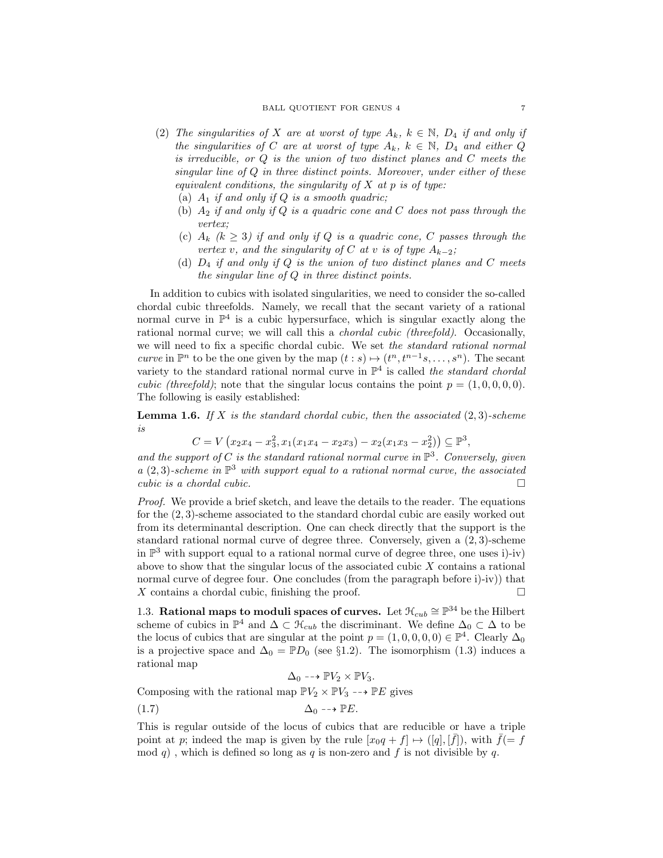- (2) The singularities of X are at worst of type  $A_k$ ,  $k \in \mathbb{N}$ ,  $D_4$  if and only if the singularities of C are at worst of type  $A_k$ ,  $k \in \mathbb{N}$ ,  $D_4$  and either Q is irreducible, or  $Q$  is the union of two distinct planes and  $C$  meets the singular line of  $Q$  in three distinct points. Moreover, under either of these equivalent conditions, the singularity of  $X$  at  $p$  is of type:
	- (a)  $A_1$  if and only if  $Q$  is a smooth quadric;
	- (b)  $A_2$  if and only if  $Q$  is a quadric cone and  $C$  does not pass through the vertex;
	- (c)  $A_k$   $(k \geq 3)$  if and only if Q is a quadric cone, C passes through the vertex v, and the singularity of C at v is of type  $A_{k-2}$ ;
	- (d)  $D_4$  if and only if Q is the union of two distinct planes and C meets the singular line of Q in three distinct points.

In addition to cubics with isolated singularities, we need to consider the so-called chordal cubic threefolds. Namely, we recall that the secant variety of a rational normal curve in  $\mathbb{P}^4$  is a cubic hypersurface, which is singular exactly along the rational normal curve; we will call this a chordal cubic (threefold). Occasionally, we will need to fix a specific chordal cubic. We set the standard rational normal curve in  $\mathbb{P}^n$  to be the one given by the map  $(t:s) \mapsto (t^n, t^{n-1}s, \ldots, s^n)$ . The secant variety to the standard rational normal curve in  $\mathbb{P}^4$  is called the standard chordal *cubic (threefold)*; note that the singular locus contains the point  $p = (1, 0, 0, 0, 0)$ . The following is easily established:

**Lemma 1.6.** If X is the standard chordal cubic, then the associated  $(2,3)$ -scheme is

$$
C = V(x_2x_4 - x_3^2, x_1(x_1x_4 - x_2x_3) - x_2(x_1x_3 - x_2^2)) \subseteq \mathbb{P}^3,
$$

and the support of C is the standard rational normal curve in  $\mathbb{P}^3$ . Conversely, given  $a(2,3)$ -scheme in  $\mathbb{P}^3$  with support equal to a rational normal curve, the associated cubic is a chordal cubic.  $\Box$ 

Proof. We provide a brief sketch, and leave the details to the reader. The equations for the (2, 3)-scheme associated to the standard chordal cubic are easily worked out from its determinantal description. One can check directly that the support is the standard rational normal curve of degree three. Conversely, given a (2, 3)-scheme in  $\mathbb{P}^3$  with support equal to a rational normal curve of degree three, one uses i)-iv) above to show that the singular locus of the associated cubic  $X$  contains a rational normal curve of degree four. One concludes (from the paragraph before i)-iv) that X contains a chordal cubic, finishing the proof.  $\square$ 

1.3. Rational maps to moduli spaces of curves. Let  $\mathcal{H}_{cub} \cong \mathbb{P}^{34}$  be the Hilbert scheme of cubics in  $\mathbb{P}^4$  and  $\Delta \subset \mathcal{H}_{cub}$  the discriminant. We define  $\Delta_0 \subset \Delta$  to be the locus of cubics that are singular at the point  $p = (1, 0, 0, 0, 0) \in \mathbb{P}^4$ . Clearly  $\Delta_0$ is a projective space and  $\Delta_0 = \mathbb{P}D_0$  (see §1.2). The isomorphism (1.3) induces a rational map

$$
\Delta_0 \dashrightarrow \mathbb{P} V_2 \times \mathbb{P} V_3.
$$

Composing with the rational map  $\mathbb{P}V_2 \times \mathbb{P}V_3 \longrightarrow \mathbb{P}E$  gives

$$
\Delta_0 \dashrightarrow \mathbb{P}E.
$$

This is regular outside of the locus of cubics that are reducible or have a triple point at p; indeed the map is given by the rule  $[x_0q+f] \mapsto ([q], [\bar{f}])$ , with  $\bar{f}(=f)$ mod q), which is defined so long as q is non-zero and f is not divisible by q.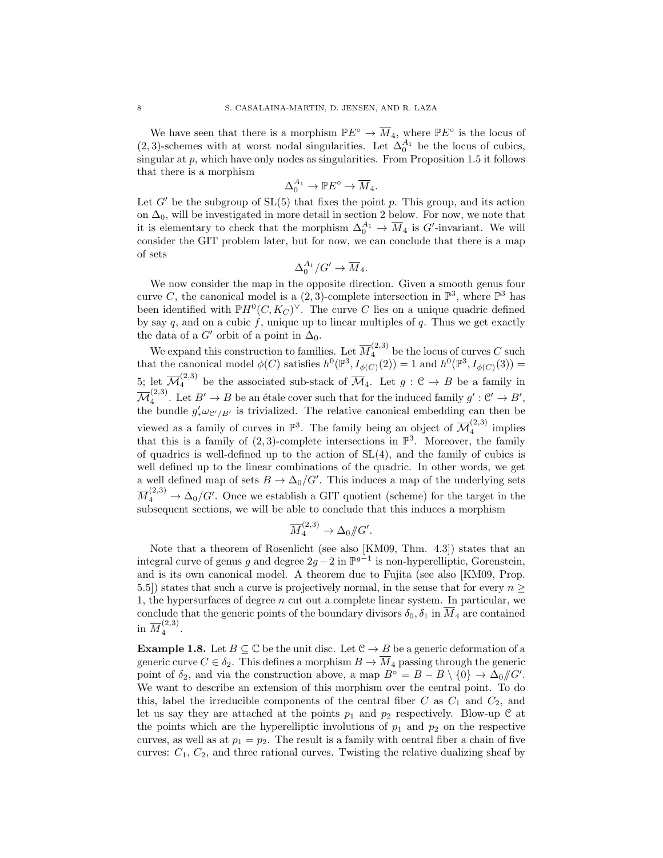We have seen that there is a morphism  $\mathbb{P} E^{\circ} \to \overline{M}_4$ , where  $\mathbb{P} E^{\circ}$  is the locus of (2, 3)-schemes with at worst nodal singularities. Let  $\Delta_0^{A_1}$  be the locus of cubics, singular at  $p$ , which have only nodes as singularities. From Proposition 1.5 it follows that there is a morphism

$$
\Delta_0^{A_1} \to \mathbb{P} E^{\circ} \to \overline{M}_4.
$$

Let  $G'$  be the subgroup of  $SL(5)$  that fixes the point p. This group, and its action on  $\Delta_0$ , will be investigated in more detail in section 2 below. For now, we note that it is elementary to check that the morphism  $\Delta_0^{A_1} \to \overline{M}_4$  is G'-invariant. We will consider the GIT problem later, but for now, we can conclude that there is a map of sets

$$
\Delta_0^{A_1}/G' \to \overline{M}_4.
$$

We now consider the map in the opposite direction. Given a smooth genus four curve C, the canonical model is a  $(2,3)$ -complete intersection in  $\mathbb{P}^3$ , where  $\mathbb{P}^3$  has been identified with  $\mathbb{P}H^0(C, K_C)^{\vee}$ . The curve C lies on a unique quadric defined by say  $q$ , and on a cubic  $f$ , unique up to linear multiples of  $q$ . Thus we get exactly the data of a  $G'$  orbit of a point in  $\Delta_0$ .

We expand this construction to families. Let  $\overline{M}_{4}^{(2,3)}$  be the locus of curves C such that the canonical model  $\phi(C)$  satisfies  $h^0(\mathbb{P}^3, I_{\phi(C)}(2)) = 1$  and  $h^0(\mathbb{P}^3, I_{\phi(C)}(3)) =$ 5; let  $\overline{\mathcal{M}}_4^{(2,3)}$  be the associated sub-stack of  $\overline{\mathcal{M}}_4$ . Let  $g: \mathcal{C} \to B$  be a family in  $\overline{\mathcal M}_4^{(2,3)}$ <sup>(2,3)</sup>. Let  $B' \to B$  be an étale cover such that for the induced family  $g' : \mathcal{C}' \to B'$ , the bundle  $g'_*\omega_{\mathcal{C}'/B'}$  is trivialized. The relative canonical embedding can then be viewed as a family of curves in  $\mathbb{P}^3$ . The family being an object of  $\overline{\mathcal{M}}_4^{(2,3)}$  $\int_4^{(2,0)}$  implies that this is a family of  $(2,3)$ -complete intersections in  $\mathbb{P}^3$ . Moreover, the family of quadrics is well-defined up to the action of  $SL(4)$ , and the family of cubics is well defined up to the linear combinations of the quadric. In other words, we get a well defined map of sets  $B \to \Delta_0/G'$ . This induces a map of the underlying sets  $\overline{M}_{4}^{(2,3)} \rightarrow \Delta_0/G'$ . Once we establish a GIT quotient (scheme) for the target in the subsequent sections, we will be able to conclude that this induces a morphism

$$
\overline{M}_4^{(2,3)} \to \Delta_0/\!\!/ G'.
$$

Note that a theorem of Rosenlicht (see also [KM09, Thm. 4.3]) states that an integral curve of genus g and degree  $2g - 2$  in  $\mathbb{P}^{g-1}$  is non-hyperelliptic, Gorenstein, and is its own canonical model. A theorem due to Fujita (see also [KM09, Prop. 5.5) states that such a curve is projectively normal, in the sense that for every  $n \geq$ 1, the hypersurfaces of degree n cut out a complete linear system. In particular, we conclude that the generic points of the boundary divisors  $\delta_0$ ,  $\delta_1$  in  $\overline{M}_4$  are contained in  $\overline{M}_4^{(2,3)}$  $\frac{1}{4}$ .

**Example 1.8.** Let  $B \subseteq \mathbb{C}$  be the unit disc. Let  $\mathbb{C} \to B$  be a generic deformation of a generic curve  $C \in \delta_2$ . This defines a morphism  $B \to \overline{M}_4$  passing through the generic point of  $\delta_2$ , and via the construction above, a map  $B^{\circ} = B - B \setminus \{0\} \to \Delta_0/\!\!/ G'.$ We want to describe an extension of this morphism over the central point. To do this, label the irreducible components of the central fiber  $C$  as  $C_1$  and  $C_2$ , and let us say they are attached at the points  $p_1$  and  $p_2$  respectively. Blow-up C at the points which are the hyperelliptic involutions of  $p_1$  and  $p_2$  on the respective curves, as well as at  $p_1 = p_2$ . The result is a family with central fiber a chain of five curves:  $C_1, C_2$ , and three rational curves. Twisting the relative dualizing sheaf by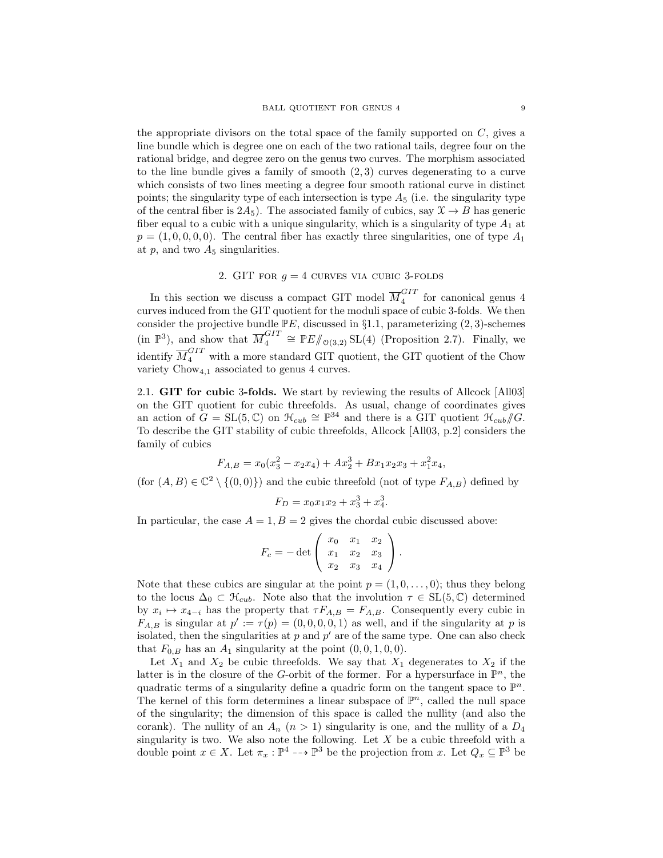the appropriate divisors on the total space of the family supported on  $C$ , gives a line bundle which is degree one on each of the two rational tails, degree four on the rational bridge, and degree zero on the genus two curves. The morphism associated to the line bundle gives a family of smooth  $(2, 3)$  curves degenerating to a curve which consists of two lines meeting a degree four smooth rational curve in distinct points; the singularity type of each intersection is type  $A_5$  (i.e. the singularity type of the central fiber is  $2A_5$ ). The associated family of cubics, say  $\mathcal{X} \to B$  has generic fiber equal to a cubic with a unique singularity, which is a singularity of type  $A_1$  at  $p = (1, 0, 0, 0, 0)$ . The central fiber has exactly three singularities, one of type  $A_1$ at  $p$ , and two  $A_5$  singularities.

# 2. GIT FOR  $q = 4$  curves via cubic 3-folds

In this section we discuss a compact GIT model  $\overline{M}_4^{GIT}$  $\frac{641}{4}$  for canonical genus 4 curves induced from the GIT quotient for the moduli space of cubic 3-folds. We then consider the projective bundle  $\mathbb{P}E$ , discussed in §1.1, parameterizing  $(2,3)$ -schemes (in  $\mathbb{P}^3$ ), and show that  $\overline{M}_4^{GIT}$  $\mathbb{Z}_4^{GIT} \cong \mathbb{P}E/\hspace{-3pt}/_{\mathcal{O}(3,2)} SL(4)$  (Proposition 2.7). Finally, we identify  $\overline{M}_4^{GIT}$  with a more standard GIT quotient, the GIT quotient of the Chow variety  $Chow_{4,1}$  associated to genus 4 curves.

2.1. GIT for cubic 3-folds. We start by reviewing the results of Allcock [All03] on the GIT quotient for cubic threefolds. As usual, change of coordinates gives an action of  $G = SL(5, \mathbb{C})$  on  $\mathcal{H}_{cub} \cong \mathbb{P}^{34}$  and there is a GIT quotient  $\mathcal{H}_{cub} / \mathcal{G}$ . To describe the GIT stability of cubic threefolds, Allcock [All03, p.2] considers the family of cubics

$$
F_{A,B} = x_0(x_3^2 - x_2x_4) + Ax_2^3 + Bx_1x_2x_3 + x_1^2x_4,
$$

(for  $(A, B) \in \mathbb{C}^2 \setminus \{(0, 0)\}\)$  and the cubic threefold (not of type  $F_{A,B}$ ) defined by

$$
F_D = x_0 x_1 x_2 + x_3^3 + x_4^3.
$$

In particular, the case  $A = 1, B = 2$  gives the chordal cubic discussed above:

$$
F_c = -\det\left(\begin{array}{ccc} x_0 & x_1 & x_2 \\ x_1 & x_2 & x_3 \\ x_2 & x_3 & x_4 \end{array}\right).
$$

Note that these cubics are singular at the point  $p = (1, 0, \ldots, 0)$ ; thus they belong to the locus  $\Delta_0 \subset \mathcal{H}_{cub}$ . Note also that the involution  $\tau \in SL(5,\mathbb{C})$  determined by  $x_i \mapsto x_{4-i}$  has the property that  $\tau F_{A,B} = F_{A,B}$ . Consequently every cubic in  $F_{A,B}$  is singular at  $p' := \tau(p) = (0,0,0,0,1)$  as well, and if the singularity at p is isolated, then the singularities at  $p$  and  $p'$  are of the same type. One can also check that  $F_{0,B}$  has an  $A_1$  singularity at the point  $(0, 0, 1, 0, 0)$ .

Let  $X_1$  and  $X_2$  be cubic threefolds. We say that  $X_1$  degenerates to  $X_2$  if the latter is in the closure of the G-orbit of the former. For a hypersurface in  $\mathbb{P}^n$ , the quadratic terms of a singularity define a quadric form on the tangent space to  $\mathbb{P}^n$ . The kernel of this form determines a linear subspace of  $\mathbb{P}^n$ , called the null space of the singularity; the dimension of this space is called the nullity (and also the corank). The nullity of an  $A_n$   $(n > 1)$  singularity is one, and the nullity of a  $D_4$ singularity is two. We also note the following. Let  $X$  be a cubic threefold with a double point  $x \in X$ . Let  $\pi_x : \mathbb{P}^4 \dashrightarrow \mathbb{P}^3$  be the projection from x. Let  $Q_x \subseteq \mathbb{P}^3$  be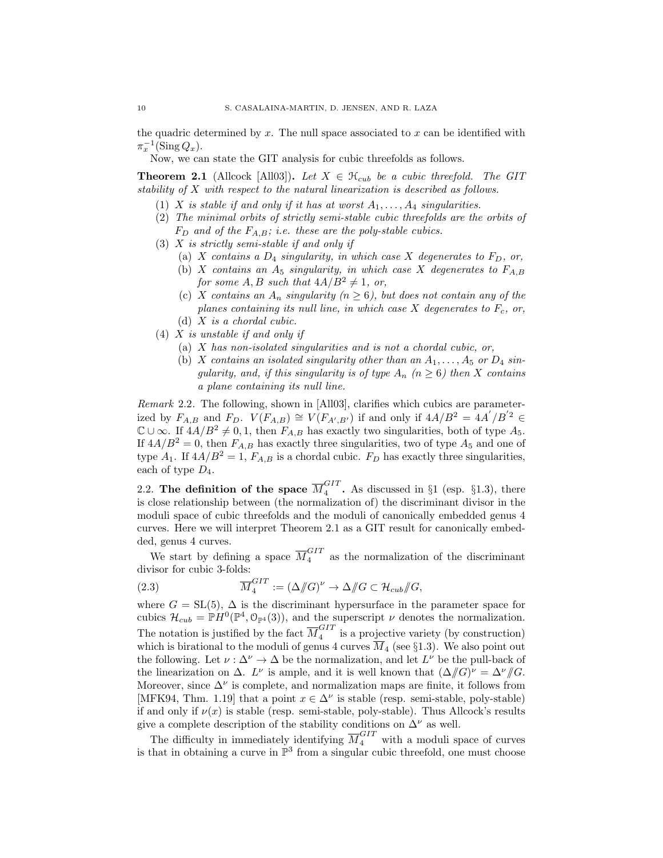the quadric determined by  $x$ . The null space associated to  $x$  can be identified with  $\pi_x^{-1}(\operatorname{Sing} Q_x).$ 

Now, we can state the GIT analysis for cubic threefolds as follows.

**Theorem 2.1** (Allcock [All03]). Let  $X \in \mathcal{H}_{cub}$  be a cubic threefold. The GIT stability of X with respect to the natural linearization is described as follows.

- (1) X is stable if and only if it has at worst  $A_1, \ldots, A_4$  singularities.
- (2) The minimal orbits of strictly semi-stable cubic threefolds are the orbits of  $F_D$  and of the  $F_{A,B}$ ; i.e. these are the poly-stable cubics.
- (3)  $X$  is strictly semi-stable if and only if
	- (a) X contains a  $D_4$  singularity, in which case X degenerates to  $F_D$ , or,
	- (b) X contains an  $A_5$  singularity, in which case X degenerates to  $F_{A,B}$ for some A, B such that  $4A/B^2 \neq 1$ , or,
	- (c) X contains an  $A_n$  singularity  $(n \geq 6)$ , but does not contain any of the planes containing its null line, in which case  $X$  degenerates to  $F_c$ , or, (d)  $X$  is a chordal cubic.
- (4) X is unstable if and only if
	- (a) X has non-isolated singularities and is not a chordal cubic, or,
	- (b) X contains an isolated singularity other than an  $A_1, \ldots, A_5$  or  $D_4$  singularity, and, if this singularity is of type  $A_n$   $(n \geq 6)$  then X contains a plane containing its null line.

Remark 2.2. The following, shown in [All03], clarifies which cubics are parameterized by  $F_{A,B}$  and  $F_D$ .  $V(F_{A,B}) \cong V(F_{A',B'})$  if and only if  $4A/B^2 = 4A'/B'^2 \in$  $\mathbb{C} \cup \infty$ . If  $4A/B^2 \neq 0, 1$ , then  $F_{A,B}$  has exactly two singularities, both of type  $A_5$ . If  $4A/B^2 = 0$ , then  $F_{A,B}$  has exactly three singularities, two of type  $A_5$  and one of type  $A_1$ . If  $4A/B^2 = 1$ ,  $F_{A,B}$  is a chordal cubic.  $F_D$  has exactly three singularities, each of type  $D_4$ .

2.2. The definition of the space  $\overline{M}_4^{GIT}$  $\frac{671}{4}$ . As discussed in §1 (esp. §1.3), there is close relationship between (the normalization of) the discriminant divisor in the moduli space of cubic threefolds and the moduli of canonically embedded genus 4 curves. Here we will interpret Theorem 2.1 as a GIT result for canonically embedded, genus 4 curves.

We start by defining a space  $\overline{M}_4^{GIT}$  as the normalization of the discriminant divisor for cubic 3-folds:

(2.3) 
$$
\overline{M}_4^{GIT} := \left(\Delta/\!\!/ G\right)^{\nu} \to \Delta/\!\!/ G \subset \mathcal{H}_{cub}/\!\!/ G,
$$

where  $G = SL(5)$ ,  $\Delta$  is the discriminant hypersurface in the parameter space for cubics  $\mathcal{H}_{cub} = \mathbb{P}H^0(\mathbb{P}^4, \mathbb{O}_{\mathbb{P}^4}(3))$ , and the superscript  $\nu$  denotes the normalization. The notation is justified by the fact  $\overline{M}_4^{GIT}$  $\frac{1}{4}$  is a projective variety (by construction) which is birational to the moduli of genus 4 curves  $\overline{M}_4$  (see §1.3). We also point out the following. Let  $\nu : \Delta^{\nu} \to \Delta$  be the normalization, and let  $L^{\nu}$  be the pull-back of the linearization on  $\Delta$ .  $L^{\nu}$  is ample, and it is well known that  $(\Delta/\!\!/ G)^{\nu} = \Delta^{\nu}/\!\!/ G$ . Moreover, since  $\Delta^{\nu}$  is complete, and normalization maps are finite, it follows from [MFK94, Thm. 1.19] that a point  $x \in \Delta^{\nu}$  is stable (resp. semi-stable, poly-stable) if and only if  $\nu(x)$  is stable (resp. semi-stable, poly-stable). Thus Allcock's results give a complete description of the stability conditions on  $\Delta^{\nu}$  as well.

The difficulty in immediately identifying  $\overline{M}_4^{GIT}$  with a moduli space of curves is that in obtaining a curve in  $\mathbb{P}^3$  from a singular cubic threefold, one must choose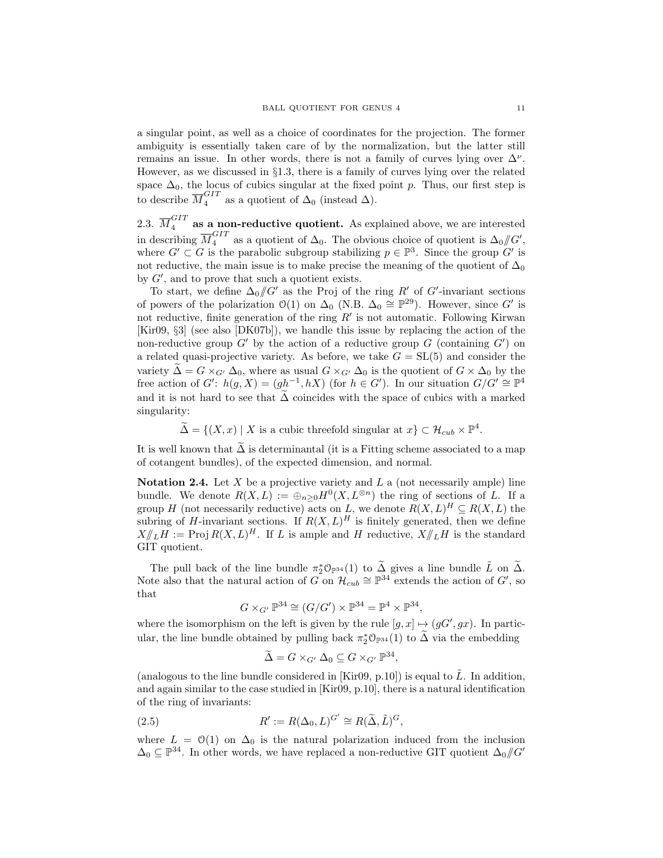a singular point, as well as a choice of coordinates for the projection. The former ambiguity is essentially taken care of by the normalization, but the latter still remains an issue. In other words, there is not a family of curves lying over  $\Delta^{\nu}$ . However, as we discussed in §1.3, there is a family of curves lying over the related space  $\Delta_0$ , the locus of cubics singular at the fixed point p. Thus, our first step is to describe  $\overline{M}_4^{GIT}$  as a quotient of  $\Delta_0$  (instead  $\Delta$ ).

2.3.  $\overline{M}_4^{GIT}$  as a non-reductive quotient. As explained above, we are interested in describing  $\overline{M}_4^{GIT}$  as a quotient of  $\Delta_0$ . The obvious choice of quotient is  $\Delta_0/\!\!/ G'$ , where  $G' \subset G$  is the parabolic subgroup stabilizing  $p \in \mathbb{P}^3$ . Since the group  $G'$  is not reductive, the main issue is to make precise the meaning of the quotient of  $\Delta_0$ by  $G'$ , and to prove that such a quotient exists.

To start, we define  $\Delta_0/\!\!/ G'$  as the Proj of the ring R' of G'-invariant sections of powers of the polarization  $\mathcal{O}(1)$  on  $\Delta_0$  (N.B.  $\Delta_0 \cong \mathbb{P}^{29}$ ). However, since G' is not reductive, finite generation of the ring  $R'$  is not automatic. Following Kirwan [Kir09, §3] (see also [DK07b]), we handle this issue by replacing the action of the non-reductive group  $G'$  by the action of a reductive group  $G$  (containing  $G'$ ) on a related quasi-projective variety. As before, we take  $G = SL(5)$  and consider the variety  $\tilde{\Delta} = G \times_{G'} \Delta_0$ , where as usual  $G \times_{G'} \Delta_0$  is the quotient of  $G \times \Delta_0$  by the free action of  $G'$ :  $h(g, X) = (gh^{-1}, hX)$  (for  $h \in G'$ ). In our situation  $G/G' \cong \mathbb{P}^4$ and it is not hard to see that  $\Delta$  coincides with the space of cubics with a marked singularity:

 $\widetilde{\Delta} = \{(X, x) \mid X \text{ is a cubic threefold singular at } x\} \subset \mathcal{H}_{cub} \times \mathbb{P}^4.$ 

It is well known that  $\Delta$  is determinantal (it is a Fitting scheme associated to a map of cotangent bundles), of the expected dimension, and normal.

Notation 2.4. Let  $X$  be a projective variety and  $L$  a (not necessarily ample) line bundle. We denote  $R(X, L) := \bigoplus_{n \geq 0} H^0(X, L^{\otimes n})$  the ring of sections of L. If a group H (not necessarily reductive) acts on L, we denote  $R(X, L)^H \subseteq R(X, L)$  the subring of H-invariant sections. If  $R(X, L)^H$  is finitely generated, then we define  $X/\!\!/_{L}H := \text{Proj } R(X, L)^{H}$ . If L is ample and H reductive,  $X/\!\!/_{L}H$  is the standard GIT quotient.

The pull back of the line bundle  $\pi_2^* \mathcal{O}_{\mathbb{P}^{34}}(1)$  to  $\widetilde{\Delta}$  gives a line bundle  $\widetilde{L}$  on  $\widetilde{\Delta}$ . Note also that the natural action of G on  $\mathcal{H}_{cub} \cong \mathbb{P}^{34}$  extends the action of G', so that

$$
G \times_{G'} \mathbb{P}^{34} \cong (G/G') \times \mathbb{P}^{34} = \mathbb{P}^4 \times \mathbb{P}^{34},
$$

where the isomorphism on the left is given by the rule  $[g, x] \mapsto (gG', gx)$ . In particular, the line bundle obtained by pulling back  $\pi_2^* \mathcal{O}_{\mathbb{P}^{34}}(1)$  to  $\tilde{\Delta}$  via the embedding

$$
\widetilde{\Delta} = G \times_{G'} \Delta_0 \subseteq G \times_{G'} \mathbb{P}^{34},
$$

(analogous to the line bundle considered in [Kir09, p.10]) is equal to  $\tilde{L}$ . In addition, and again similar to the case studied in [Kir09, p.10], there is a natural identification of the ring of invariants:

(2.5) 
$$
R' := R(\Delta_0, L)^{G'} \cong R(\widetilde{\Delta}, \widetilde{L})^G,
$$

where  $L = \mathcal{O}(1)$  on  $\Delta_0$  is the natural polarization induced from the inclusion  $\Delta_0 \subseteq \mathbb{P}^{34}$ . In other words, we have replaced a non-reductive GIT quotient  $\Delta_0/\!\!/ G'$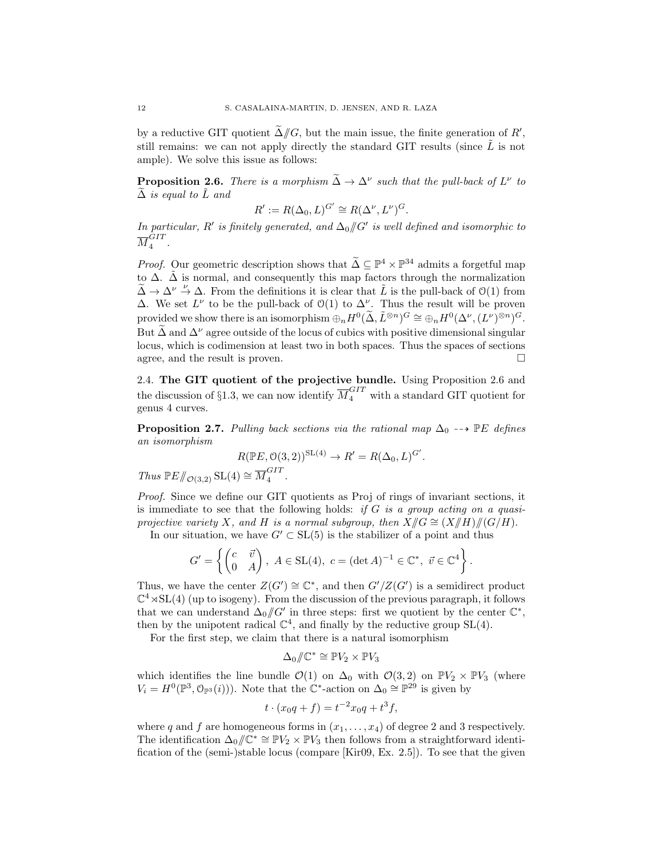by a reductive GIT quotient  $\tilde{\Delta}/\!\!/ G$ , but the main issue, the finite generation of  $R'$ , still remains: we can not apply directly the standard GIT results (since  $\tilde{L}$  is not ample). We solve this issue as follows:

**Proposition 2.6.** There is a morphism  $\tilde{\Delta} \to \Delta^{\nu}$  such that the pull-back of  $L^{\nu}$  to  $\Delta$  is equal to  $\tilde{L}$  and

$$
R' := R(\Delta_0, L)^{G'} \cong R(\Delta^{\nu}, L^{\nu})^{G}.
$$

In particular, R' is finitely generated, and  $\Delta_0/\!\!/ G'$  is well defined and isomorphic to  ${\overline M}_4^{GIT}$  $\frac{1}{4}$ .

*Proof.* Our geometric description shows that  $\widetilde{\Delta} \subseteq \mathbb{P}^4 \times \mathbb{P}^{34}$  admits a forgetful map to  $\Delta$ .  $\tilde{\Delta}$  is normal, and consequently this map factors through the normalization  $\tilde{\Delta} \rightarrow \Delta^{\nu} \stackrel{\nu}{\rightarrow} \Delta$ . From the definitions it is clear that  $\tilde{L}$  is the pull-back of  $\mathcal{O}(1)$  from  $\Delta$ . We set  $L^{\nu}$  to be the pull-back of O(1) to  $\Delta^{\nu}$ . Thus the result will be proven provided we show there is an isomorphism  $\oplus_n H^0(\tilde{\Delta}, \tilde{L}^{\otimes n})^G \cong \oplus_n H^0(\Delta^\nu, (L^\nu)^{\otimes n})^G$ . But  $\widetilde{\Delta}$  and  $\Delta^{\nu}$  agree outside of the locus of cubics with positive dimensional singular locus, which is codimension at least two in both spaces. Thus the spaces of sections agree, and the result is proven.

2.4. The GIT quotient of the projective bundle. Using Proposition 2.6 and the discussion of §1.3, we can now identify  $\overline{M}_4^{GIT}$  with a standard GIT quotient for genus 4 curves.

**Proposition 2.7.** Pulling back sections via the rational map  $\Delta_0$  --> PE defines an isomorphism

$$
R(\mathbb{P}E, \mathcal{O}(3,2))^{SL(4)} \to R' = R(\Delta_0, L)^{G'}.
$$
  
Thus  $\mathbb{P}E/\!\!/_{\mathcal{O}(3,2)} SL(4) \cong \overline{M}_4^{GIT}.$ 

Proof. Since we define our GIT quotients as Proj of rings of invariant sections, it is immediate to see that the following holds: if G is a group acting on a quasiprojective variety X, and H is a normal subgroup, then  $X/\!\!/ G \cong (X/\!\!/ H)/\!\!/ (G/H)$ .

In our situation, we have  $G' \subset SL(5)$  is the stabilizer of a point and thus

$$
G' = \left\{ \begin{pmatrix} c & \vec{v} \\ 0 & A \end{pmatrix}, A \in SL(4), c = (\det A)^{-1} \in \mathbb{C}^*, \ \vec{v} \in \mathbb{C}^4 \right\}.
$$

Thus, we have the center  $Z(G') \cong \mathbb{C}^*$ , and then  $G'/Z(G')$  is a semidirect product  $\mathbb{C}^4 \rtimes SL(4)$  (up to isogeny). From the discussion of the previous paragraph, it follows that we can understand  $\Delta_0/\!\!/ G'$  in three steps: first we quotient by the center  $\mathbb{C}^*$ , then by the unipotent radical  $\mathbb{C}^4$ , and finally by the reductive group SL(4).

For the first step, we claim that there is a natural isomorphism

$$
\Delta_0/\!\!/ \mathbb{C}^* \cong \mathbb{P} V_2 \times \mathbb{P} V_3
$$

which identifies the line bundle  $\mathcal{O}(1)$  on  $\Delta_0$  with  $\mathcal{O}(3, 2)$  on  $\mathbb{P}V_2 \times \mathbb{P}V_3$  (where  $V_i = H^0(\mathbb{P}^3, \mathbb{O}_{\mathbb{P}^3}(i))$ . Note that the  $\mathbb{C}^*$ -action on  $\Delta_0 \cong \mathbb{P}^{29}$  is given by

$$
t \cdot (x_0 q + f) = t^{-2} x_0 q + t^3 f,
$$

where q and f are homogeneous forms in  $(x_1, \ldots, x_4)$  of degree 2 and 3 respectively. The identification  $\Delta_0/\!\!/ \mathbb{C}^* \cong \mathbb{P} V_2 \times \mathbb{P} V_3$  then follows from a straightforward identification of the (semi-)stable locus (compare  $[\text{Kir09}, \text{Ex}, 2.5]$ ). To see that the given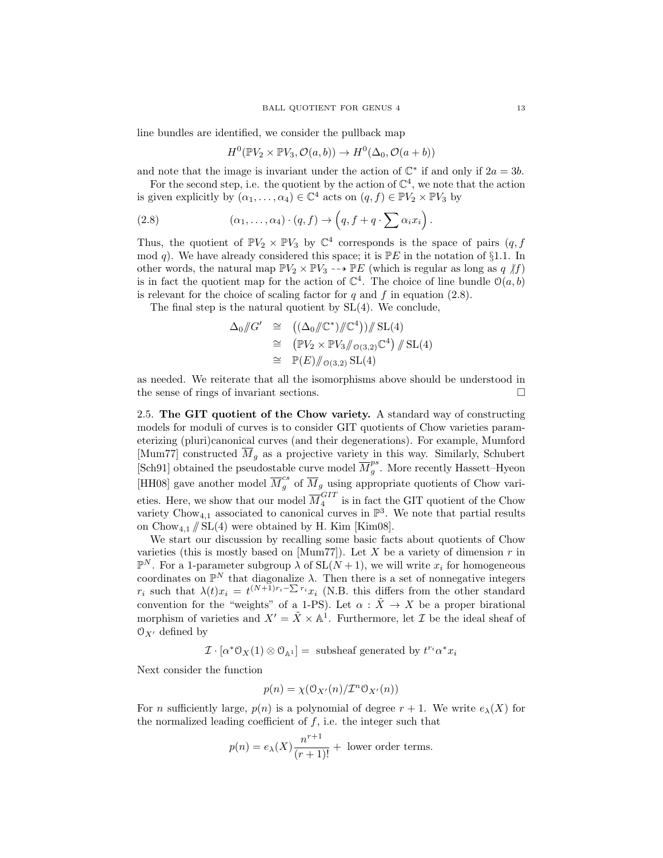line bundles are identified, we consider the pullback map

$$
H^{0}(\mathbb{P} V_{2} \times \mathbb{P} V_{3}, \mathcal{O}(a,b)) \to H^{0}(\Delta_{0}, \mathcal{O}(a+b))
$$

and note that the image is invariant under the action of  $\mathbb{C}^*$  if and only if  $2a = 3b$ .

For the second step, i.e. the quotient by the action of  $\mathbb{C}^4$ , we note that the action is given explicitly by  $(\alpha_1, \ldots, \alpha_4) \in \mathbb{C}^4$  acts on  $(q, f) \in \mathbb{P}V_2 \times \mathbb{P}V_3$  by

(2.8) 
$$
(\alpha_1,\ldots,\alpha_4)\cdot(q,f)\to \left(q,f+q\cdot\sum \alpha_i x_i\right).
$$

Thus, the quotient of  $\mathbb{P}V_2 \times \mathbb{P}V_3$  by  $\mathbb{C}^4$  corresponds is the space of pairs  $(q, f)$ mod q). We have already considered this space; it is  $P E$  in the notation of §1.1. In other words, the natural map  $\mathbb{P}V_2 \times \mathbb{P}V_3 \dashrightarrow \mathbb{P}E$  (which is regular as long as q  $/f$ ) is in fact the quotient map for the action of  $\mathbb{C}^4$ . The choice of line bundle  $\mathcal{O}(a, b)$ is relevant for the choice of scaling factor for q and f in equation  $(2.8)$ .

The final step is the natural quotient by SL(4). We conclude,

$$
\Delta_0/\!\!/ G' \cong ((\Delta_0/\!\!/ \mathbb{C}^*)/\!\!/ \mathbb{C}^4))/\!\!/ \operatorname{SL}(4)
$$
  
\n
$$
\cong (\mathbb{P}V_2 \times \mathbb{P}V_3/\!\!/_{\mathcal{O}(3,2)}\mathbb{C}^4)/\!\!/ \operatorname{SL}(4)
$$
  
\n
$$
\cong \mathbb{P}(E)/\!\!/_{\mathcal{O}(3,2)}\operatorname{SL}(4)
$$

as needed. We reiterate that all the isomorphisms above should be understood in the sense of rings of invariant sections.

2.5. The GIT quotient of the Chow variety. A standard way of constructing models for moduli of curves is to consider GIT quotients of Chow varieties parameterizing (pluri)canonical curves (and their degenerations). For example, Mumford [Mum77] constructed  $M_g$  as a projective variety in this way. Similarly, Schubert [Sch91] obtained the pseudostable curve model  $\overline{M}_a^{ps}$  $_g^{\rho s}$ . More recently Hassett–Hyeon [HH08] gave another model  $\overline{M}_g^{cs}$  of  $\overline{M}_g$  using appropriate quotients of Chow varieties. Here, we show that our model  $\overline{M}_4^{GIT}$  $\frac{1}{4}$  is in fact the GIT quotient of the Chow variety Chow<sub>4,1</sub> associated to canonical curves in  $\mathbb{P}^3$ . We note that partial results on  $Chow_{4,1} \nparallel SL(4)$  were obtained by H. Kim [Kim08].

We start our discussion by recalling some basic facts about quotients of Chow varieties (this is mostly based on [Mum77]). Let X be a variety of dimension  $r$  in  $\mathbb{P}^N$ . For a 1-parameter subgroup  $\lambda$  of  $SL(N+1)$ , we will write  $x_i$  for homogeneous coordinates on  $\mathbb{P}^N$  that diagonalize  $\lambda$ . Then there is a set of nonnegative integers  $r_i$  such that  $\lambda(t)x_i = t^{(N+1)r_i-\sum r_i}x_i$  (N.B. this differs from the other standard convention for the "weights" of a 1-PS). Let  $\alpha$  :  $\tilde{X} \to X$  be a proper birational morphism of varieties and  $X' = \tilde{X} \times \mathbb{A}^1$ . Furthermore, let  $\mathcal I$  be the ideal sheaf of  $\mathcal{O}_{X'}$  defined by

 $\mathcal{I} \cdot [\alpha^* \mathcal{O}_X(1) \otimes \mathcal{O}_{\mathbb{A}^1}] = \text{ subsheaf generated by } t^{r_i} \alpha^* x_i$ 

Next consider the function

$$
p(n) = \chi(\mathcal{O}_{X'}(n)/\mathcal{I}^n \mathcal{O}_{X'}(n))
$$

For n sufficiently large,  $p(n)$  is a polynomial of degree  $r + 1$ . We write  $e_{\lambda}(X)$  for the normalized leading coefficient of  $f$ , i.e. the integer such that

$$
p(n) = e_{\lambda}(X) \frac{n^{r+1}}{(r+1)!} +
$$
 lower order terms.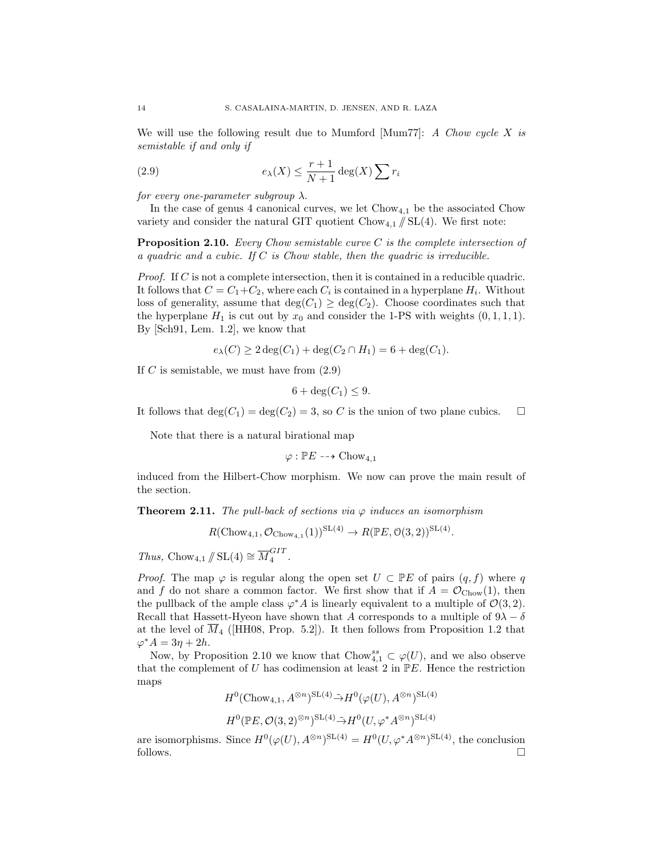We will use the following result due to Mumford [Mum77]: A Chow cycle X is semistable if and only if

(2.9) 
$$
e_{\lambda}(X) \leq \frac{r+1}{N+1} \deg(X) \sum r_i
$$

for every one-parameter subgroup  $\lambda$ .

In the case of genus 4 canonical curves, we let  $Chow_{4,1}$  be the associated Chow variety and consider the natural GIT quotient  $Chow_{4,1} \nparallel SL(4)$ . We first note:

**Proposition 2.10.** Every Chow semistable curve  $C$  is the complete intersection of a quadric and a cubic. If  $C$  is Chow stable, then the quadric is irreducible.

Proof. If C is not a complete intersection, then it is contained in a reducible quadric. It follows that  $C = C_1 + C_2$ , where each  $C_i$  is contained in a hyperplane  $H_i$ . Without loss of generality, assume that  $deg(C_1) \geq deg(C_2)$ . Choose coordinates such that the hyperplane  $H_1$  is cut out by  $x_0$  and consider the 1-PS with weights  $(0, 1, 1, 1)$ . By [Sch91, Lem. 1.2], we know that

$$
e_{\lambda}(C) \ge 2 \deg(C_1) + \deg(C_2 \cap H_1) = 6 + \deg(C_1).
$$

If C is semistable, we must have from  $(2.9)$ 

$$
6 + \deg(C_1) \le 9.
$$

It follows that  $deg(C_1) = deg(C_2) = 3$ , so C is the union of two plane cubics.  $\square$ 

Note that there is a natural birational map

$$
\varphi : \mathbb{P} E \dashrightarrow \mathrm{Chow}_{4,1}
$$

induced from the Hilbert-Chow morphism. We now can prove the main result of the section.

**Theorem 2.11.** The pull-back of sections via  $\varphi$  induces an isomorphism

$$
R(\mathrm{Chow}_{4,1}, \mathcal{O}_{\mathrm{Chow}_{4,1}}(1))^{\mathrm{SL}(4)} \to R(\mathbb{P} E, \mathcal{O}(3,2))^{\mathrm{SL}(4)}.
$$

Thus, Chow<sub>4,1</sub>  $/\!\!/$  SL(4)  $\cong \overline{M}_4^{GIT}$  $\frac{1}{4}$ .

*Proof.* The map  $\varphi$  is regular along the open set  $U \subset \mathbb{P}E$  of pairs  $(q, f)$  where q and f do not share a common factor. We first show that if  $A = \mathcal{O}_{\text{Chow}}(1)$ , then the pullback of the ample class  $\varphi^* A$  is linearly equivalent to a multiple of  $\mathcal{O}(3,2)$ . Recall that Hassett-Hyeon have shown that  $A$  corresponds to a multiple of  $9\lambda-\delta$ at the level of  $\overline{M}_4$  ([HH08, Prop. 5.2]). It then follows from Proposition 1.2 that  $\varphi^* A = 3\eta + 2h$ .

Now, by Proposition 2.10 we know that Chow<sup>ss</sup><sub>4,1</sub>  $\subset \varphi(U)$ , and we also observe that the complement of U has codimension at least 2 in  $\mathbb{P}E$ . Hence the restriction maps

$$
H^0(\text{Chow}_{4,1}, A^{\otimes n})^{\text{SL}(4)} \tilde{\to} H^0(\varphi(U), A^{\otimes n})^{\text{SL}(4)}
$$

$$
H^0(\mathbb{P}E, \mathcal{O}(3,2)^{\otimes n})^{\mathrm{SL}(4)} \tilde{\rightarrow} H^0(U, \varphi^* A^{\otimes n})^{\mathrm{SL}(4)}
$$

are isomorphisms. Since  $H^0(\varphi(U), A^{\otimes n})^{\mathrm{SL}(4)} = H^0(U, \varphi^* A^{\otimes n})^{\mathrm{SL}(4)}$ , the conclusion follows.  $\Box$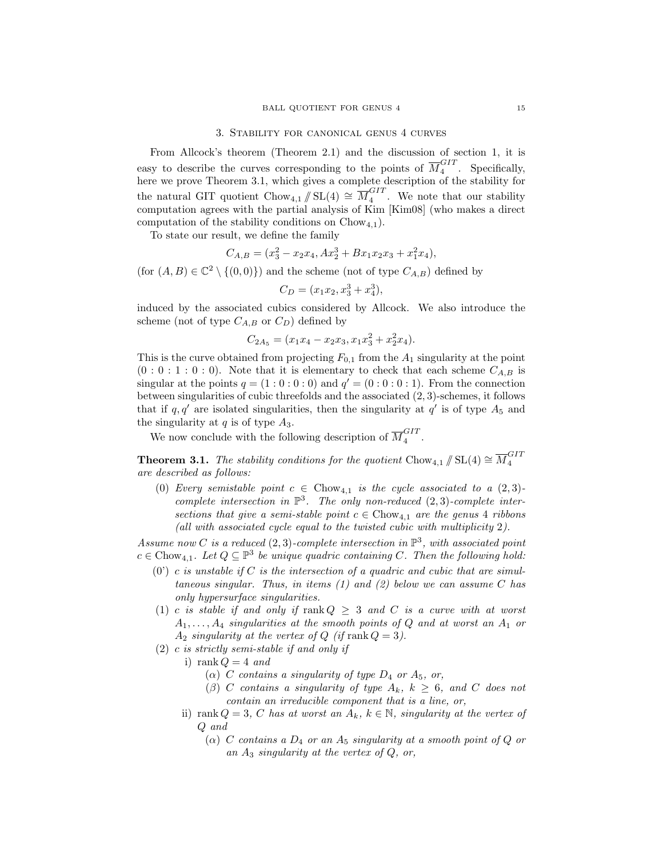#### 3. Stability for canonical genus 4 curves

From Allcock's theorem (Theorem 2.1) and the discussion of section 1, it is easy to describe the curves corresponding to the points of  $\overline{M}_4^{GIT}$  $\frac{1}{4}$ . Specifically, here we prove Theorem 3.1, which gives a complete description of the stability for the natural GIT quotient Chow<sub>4,1</sub>  $/\!\!/$  SL(4)  $\cong \overline{M}_4^{GIT}$  $\frac{1}{4}$ . We note that our stability computation agrees with the partial analysis of Kim [Kim08] (who makes a direct computation of the stability conditions on  $Chow_{4,1}$ .

To state our result, we define the family

$$
C_{A,B} = (x_3^2 - x_2x_4, Ax_2^3 + Bx_1x_2x_3 + x_1^2x_4),
$$

(for  $(A, B) \in \mathbb{C}^2 \setminus \{(0, 0)\}\)$  and the scheme (not of type  $C_{A,B}$ ) defined by

$$
C_D = (x_1 x_2, x_3^3 + x_4^3),
$$

induced by the associated cubics considered by Allcock. We also introduce the scheme (not of type  $C_{A,B}$  or  $C_D$ ) defined by

$$
C_{2A_5} = (x_1x_4 - x_2x_3, x_1x_3^2 + x_2^2x_4).
$$

This is the curve obtained from projecting  $F_{0,1}$  from the  $A_1$  singularity at the point  $(0:0:1:0:0)$ . Note that it is elementary to check that each scheme  $C_{A,B}$  is singular at the points  $q = (1:0:0:0)$  and  $q' = (0:0:0:1)$ . From the connection between singularities of cubic threefolds and the associated (2, 3)-schemes, it follows that if  $q, q'$  are isolated singularities, then the singularity at  $q'$  is of type  $A_5$  and the singularity at  $q$  is of type  $A_3$ .

We now conclude with the following description of  $\overline{M}_4^{GIT}$  $\frac{1}{4}$ .

**Theorem 3.1.** The stability conditions for the quotient Chow<sub>4,1</sub>  $/\!\!/$  SL(4)  $\cong \overline{M}_4^{GIT}$ 4 are described as follows:

(0) Every semistable point  $c \in \text{Chow}_{4,1}$  is the cycle associated to a  $(2, 3)$ complete intersection in  $\mathbb{P}^3$ . The only non-reduced  $(2,3)$ -complete intersections that give a semi-stable point  $c \in \text{Chow}_{4,1}$  are the genus 4 ribbons (all with associated cycle equal to the twisted cubic with multiplicity 2).

Assume now C is a reduced  $(2,3)$ -complete intersection in  $\mathbb{P}^3$ , with associated point  $c \in \text{Chow}_{4,1}$ . Let  $Q \subseteq \mathbb{P}^3$  be unique quadric containing C. Then the following hold:

- $(0')$  c is unstable if C is the intersection of a quadric and cubic that are simultaneous singular. Thus, in items  $(1)$  and  $(2)$  below we can assume C has only hypersurface singularities.
- (1) c is stable if and only if  $rank Q \geq 3$  and C is a curve with at worst  $A_1, \ldots, A_4$  singularities at the smooth points of Q and at worst an  $A_1$  or  $A_2$  singularity at the vertex of Q (if rank  $Q = 3$ ).
- (2) c is strictly semi-stable if and only if

i) rank  $Q = 4$  and

- ( $\alpha$ ) C contains a singularity of type  $D_4$  or  $A_5$ , or,
- (β) C contains a singularity of type  $A_k$ ,  $k \geq 6$ , and C does not contain an irreducible component that is a line, or,
- ii) rank  $Q = 3$ , C has at worst an  $A_k$ ,  $k \in \mathbb{N}$ , singularity at the vertex of Q and
	- $(\alpha)$  C contains a  $D_4$  or an  $A_5$  singularity at a smooth point of Q or an  $A_3$  singularity at the vertex of  $Q$ , or,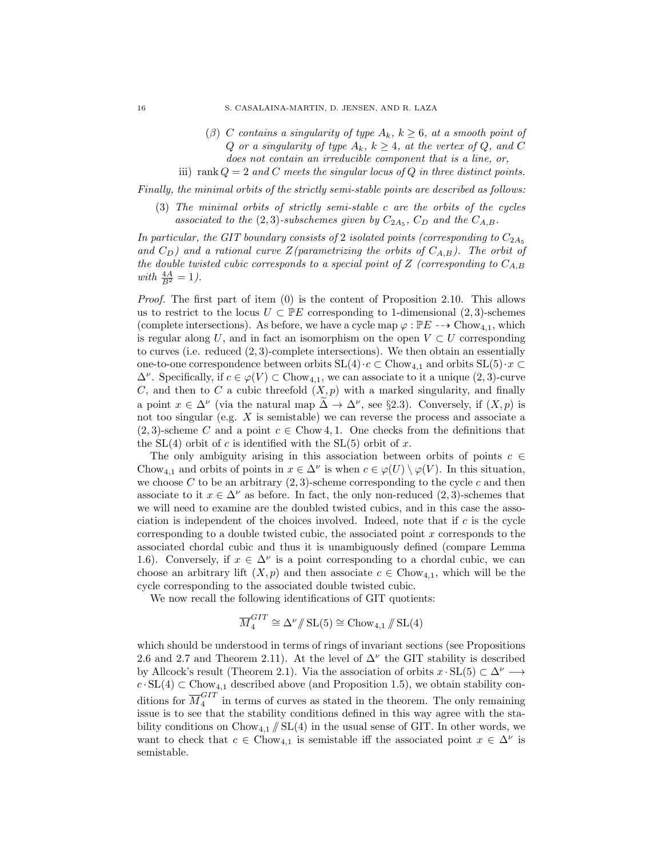- (β) C contains a singularity of type  $A_k$ ,  $k \geq 6$ , at a smooth point of Q or a singularity of type  $A_k$ ,  $k \geq 4$ , at the vertex of Q, and C does not contain an irreducible component that is a line, or,
- iii) rank  $Q = 2$  and C meets the singular locus of Q in three distinct points.

Finally, the minimal orbits of the strictly semi-stable points are described as follows:

(3) The minimal orbits of strictly semi-stable c are the orbits of the cycles associated to the  $(2,3)$ -subschemes given by  $C_{2A_5}$ ,  $C_D$  and the  $C_{A,B}$ .

In particular, the GIT boundary consists of 2 isolated points (corresponding to  $C_{2A_5}$ and  $C_D$ ) and a rational curve Z(parametrizing the orbits of  $C_{A,B}$ ). The orbit of the double twisted cubic corresponds to a special point of Z (corresponding to  $C_{A,B}$ ) with  $\frac{4A}{B^2} = 1$ ).

*Proof.* The first part of item  $(0)$  is the content of Proposition 2.10. This allows us to restrict to the locus  $U \subset \mathbb{P}E$  corresponding to 1-dimensional  $(2, 3)$ -schemes (complete intersections). As before, we have a cycle map  $\varphi : \mathbb{P}E \dashrightarrow \mathrm{Chow}_{4,1}$ , which is regular along U, and in fact an isomorphism on the open  $V \subset U$  corresponding to curves (i.e. reduced (2, 3)-complete intersections). We then obtain an essentially one-to-one correspondence between orbits  $SL(4) \cdot c \subset Chow_{4,1}$  and orbits  $SL(5) \cdot x \subset$  $\Delta^{\nu}$ . Specifically, if  $c \in \varphi(V) \subset \text{Chow}_{4,1}$ , we can associate to it a unique  $(2, 3)$ -curve C, and then to C a cubic threefold  $(X, p)$  with a marked singularity, and finally a point  $x \in \Delta^{\nu}$  (via the natural map  $\tilde{\Delta} \to \Delta^{\nu}$ , see §2.3). Conversely, if  $(X, p)$  is not too singular (e.g. X is semistable) we can reverse the process and associate a  $(2, 3)$ -scheme C and a point  $c \in \text{Chow } 4, 1$ . One checks from the definitions that the  $SL(4)$  orbit of c is identified with the  $SL(5)$  orbit of x.

The only ambiguity arising in this association between orbits of points  $c \in \mathcal{C}$ Chow<sub>4,1</sub> and orbits of points in  $x \in \Delta^{\nu}$  is when  $c \in \varphi(U) \setminus \varphi(V)$ . In this situation, we choose C to be an arbitrary  $(2,3)$ -scheme corresponding to the cycle c and then associate to it  $x \in \Delta^{\nu}$  as before. In fact, the only non-reduced  $(2, 3)$ -schemes that we will need to examine are the doubled twisted cubics, and in this case the association is independent of the choices involved. Indeed, note that if  $c$  is the cycle corresponding to a double twisted cubic, the associated point x corresponds to the associated chordal cubic and thus it is unambiguously defined (compare Lemma 1.6). Conversely, if  $x \in \Delta^{\nu}$  is a point corresponding to a chordal cubic, we can choose an arbitrary lift  $(X, p)$  and then associate  $c \in \text{Chow}_{4,1}$ , which will be the cycle corresponding to the associated double twisted cubic.

We now recall the following identifications of GIT quotients:

$$
\overline{M}_4^{GIT} \cong \Delta^{\nu}/\!\!/ \operatorname{SL}(5) \cong \mathrm{Chow}_{4,1}/\!\!/ \operatorname{SL}(4)
$$

which should be understood in terms of rings of invariant sections (see Propositions 2.6 and 2.7 and Theorem 2.11). At the level of  $\Delta^{\nu}$  the GIT stability is described by Allcock's result (Theorem 2.1). Via the association of orbits  $x \cdot SL(5) \subset \Delta^{\nu} \longrightarrow$  $c \cdot SL(4) \subset Chow_{4,1}$  described above (and Proposition 1.5), we obtain stability conditions for  $\overline{M}_4^{GIT}$  $\frac{1}{4}$  in terms of curves as stated in the theorem. The only remaining issue is to see that the stability conditions defined in this way agree with the stability conditions on  $Chow_{4,1} \nparallel SL(4)$  in the usual sense of GIT. In other words, we want to check that  $c \in \text{Chow}_{4,1}$  is semistable iff the associated point  $x \in \Delta^{\nu}$  is semistable.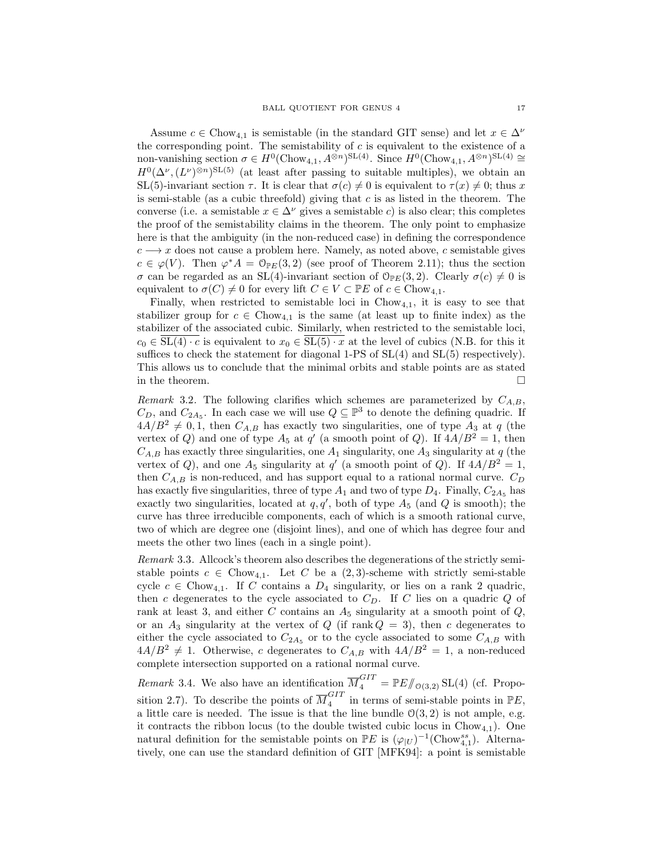Assume  $c \in Chow_{4,1}$  is semistable (in the standard GIT sense) and let  $x \in \Delta^{\nu}$ the corresponding point. The semistability of  $c$  is equivalent to the existence of a non-vanishing section  $\sigma \in H^0(\mathrm{Chow}_{4,1}, A^{\otimes n})^{\mathrm{SL}(4)}$ . Since  $H^0(\mathrm{Chow}_{4,1}, A^{\otimes n})^{\mathrm{SL}(4)} \cong$  $H^0(\Delta^{\nu},(L^{\nu})^{\otimes n})^{\text{SL}(5)}$  (at least after passing to suitable multiples), we obtain an SL(5)-invariant section  $\tau$ . It is clear that  $\sigma(c) \neq 0$  is equivalent to  $\tau(x) \neq 0$ ; thus x is semi-stable (as a cubic threefold) giving that  $c$  is as listed in the theorem. The converse (i.e. a semistable  $x \in \Delta^{\nu}$  gives a semistable c) is also clear; this completes the proof of the semistability claims in the theorem. The only point to emphasize here is that the ambiguity (in the non-reduced case) in defining the correspondence  $c \rightarrow x$  does not cause a problem here. Namely, as noted above, c semistable gives  $c \in \varphi(V)$ . Then  $\varphi^* A = \mathbb{O}_{\mathbb{P} E}(3,2)$  (see proof of Theorem 2.11); thus the section σ can be regarded as an SL(4)-invariant section of  $\mathcal{O}_{\mathbb{P}E}(3, 2)$ . Clearly  $\sigma(c) \neq 0$  is equivalent to  $\sigma(C) \neq 0$  for every lift  $C \in V \subset \mathbb{P}E$  of  $c \in \text{Chow}_{4,1}$ .

Finally, when restricted to semistable loci in  $Chow_{4,1}$ , it is easy to see that stabilizer group for  $c \in \text{Chow}_{4,1}$  is the same (at least up to finite index) as the stabilizer of the associated cubic. Similarly, when restricted to the semistable loci,  $c_0 \in SL(4) \cdot c$  is equivalent to  $x_0 \in SL(5) \cdot x$  at the level of cubics (N.B. for this it suffices to check the statement for diagonal 1-PS of  $SL(4)$  and  $SL(5)$  respectively). This allows us to conclude that the minimal orbits and stable points are as stated in the theorem.  $\Box$ 

Remark 3.2. The following clarifies which schemes are parameterized by  $C_{A,B}$ ,  $C_D$ , and  $C_{2A_5}$ . In each case we will use  $Q \subseteq \mathbb{P}^3$  to denote the defining quadric. If  $4A/B^2 \neq 0, 1$ , then  $C_{A,B}$  has exactly two singularities, one of type  $A_3$  at q (the vertex of Q) and one of type  $A_5$  at  $q'$  (a smooth point of Q). If  $4A/B^2 = 1$ , then  $C_{A,B}$  has exactly three singularities, one  $A_1$  singularity, one  $A_3$  singularity at q (the vertex of Q), and one  $A_5$  singularity at q' (a smooth point of Q). If  $4A/B^2 = 1$ , then  $C_{A,B}$  is non-reduced, and has support equal to a rational normal curve.  $C_D$ has exactly five singularities, three of type  $A_1$  and two of type  $D_4$ . Finally,  $C_{2A_5}$  has exactly two singularities, located at  $q, q'$ , both of type  $A_5$  (and Q is smooth); the curve has three irreducible components, each of which is a smooth rational curve, two of which are degree one (disjoint lines), and one of which has degree four and meets the other two lines (each in a single point).

Remark 3.3. Allcock's theorem also describes the degenerations of the strictly semistable points  $c \in \text{Chow}_{4,1}$ . Let C be a  $(2,3)$ -scheme with strictly semi-stable cycle  $c \in \text{Chow}_{4,1}$ . If C contains a  $D_4$  singularity, or lies on a rank 2 quadric, then c degenerates to the cycle associated to  $C<sub>D</sub>$ . If C lies on a quadric Q of rank at least 3, and either C contains an  $A_5$  singularity at a smooth point of  $Q$ , or an  $A_3$  singularity at the vertex of Q (if rank  $Q = 3$ ), then c degenerates to either the cycle associated to  $C_{2A_5}$  or to the cycle associated to some  $C_{A,B}$  with  $4A/B^{2} \neq 1$ . Otherwise, c degenerates to  $C_{A,B}$  with  $4A/B^{2} = 1$ , a non-reduced complete intersection supported on a rational normal curve.

*Remark* 3.4. We also have an identification  $\overline{M}_4^{GIT} = \mathbb{P}E/\!\!/_{\mathcal{O}(3,2)} SL(4)$  (cf. Proposition 2.7). To describe the points of  $\overline{M}_4^{GIT}$  $\frac{GIT}{4}$  in terms of semi-stable points in  $\mathbb{P}E$ , a little care is needed. The issue is that the line bundle  $\mathcal{O}(3, 2)$  is not ample, e.g. it contracts the ribbon locus (to the double twisted cubic locus in  $Chow_{4,1}$ ). One natural definition for the semistable points on  $\mathbb{P}E$  is  $(\varphi_{|U})^{-1}(\text{Chow}_{4,1}^{ss})$ . Alternatively, one can use the standard definition of GIT [MFK94]: a point is semistable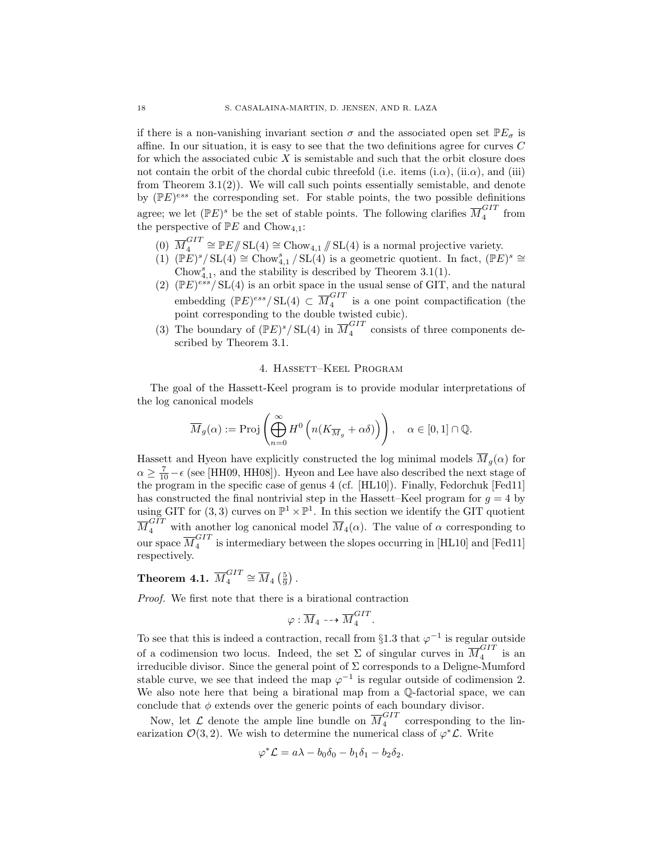if there is a non-vanishing invariant section  $\sigma$  and the associated open set  $\mathbb{P}E_{\sigma}$  is affine. In our situation, it is easy to see that the two definitions agree for curves C for which the associated cubic  $X$  is semistable and such that the orbit closure does not contain the orbit of the chordal cubic threefold (i.e. items (i. $\alpha$ ), (ii. $\alpha$ ), and (iii) from Theorem  $3.1(2)$ ). We will call such points essentially semistable, and denote by  $(PE)^{ess}$  the corresponding set. For stable points, the two possible definitions agree; we let  $( \mathbb{P} E)^s$  be the set of stable points. The following clarifies  $\overline{M}_4^{GIT}$  $\frac{1}{4}$  from the perspective of  $\mathbb{P}E$  and  $Chow_{4,1}$ :

- $(0)$   $\overline{M}_4^{GIT}$  $\mathbb{Z}_4^{GIT} \cong \mathbb{P}E/\!\!/ \operatorname{SL}(4) \cong \operatorname{Chow}_{4,1}/\!\!/ \operatorname{SL}(4)$  is a normal projective variety.
- $(1)$  (PE)<sup>s</sup>/SL(4) ≅ Chow<sup>s</sup><sub>4,1</sub>/SL(4) is a geometric quotient. In fact, (PE)<sup>s</sup> ≅ Chow<sup>s</sup><sub>4,1</sub>, and the stability is described by Theorem 3.1(1).
- (2)  $(\mathbb{P}E)^{ess}/SL(4)$  is an orbit space in the usual sense of GIT, and the natural embedding  $(\mathbb{P}E)^{ess}/SL(4) \subset \overline{M}_4^{GIT}$  $\frac{1}{4}$  is a one point compactification (the point corresponding to the double twisted cubic).
- (3) The boundary of  $(\mathbb{P}E)^s/\operatorname{SL}(4)$  in  $\overline{M}_4^{GIT}$  $\frac{G_{11}}{4}$  consists of three components described by Theorem 3.1.

### 4. Hassett–Keel Program

The goal of the Hassett-Keel program is to provide modular interpretations of the log canonical models

$$
\overline{M}_g(\alpha) := \text{Proj}\left(\bigoplus_{n=0}^{\infty} H^0\left(n(K_{\overline{M}_g} + \alpha\delta)\right)\right), \quad \alpha \in [0,1] \cap \mathbb{Q}.
$$

Hassett and Hyeon have explicitly constructed the log minimal models  $\overline{M}_q(\alpha)$  for  $\alpha \geq \frac{7}{10} - \epsilon$  (see [HH09, HH08]). Hyeon and Lee have also described the next stage of the program in the specific case of genus 4 (cf. [HL10]). Finally, Fedorchuk [Fed11] has constructed the final nontrivial step in the Hassett–Keel program for  $g = 4$  by using GIT for (3, 3) curves on  $\mathbb{P}^1 \times \mathbb{P}^1$ . In this section we identify the GIT quotient  $\overline{M}_4^{GIT}$  with another log canonical model  $\overline{M}_4(\alpha)$ . The value of  $\alpha$  corresponding to our space  $\overline{M}_4^{GIT}$  $\frac{1}{4}$  is intermediary between the slopes occurring in [HL10] and [Fed11] respectively.

#### Theorem 4.1.  $\overline{M}_4^{GIT}$  $\frac{GIT}{4} \cong \overline{M}_4 \left( \frac{5}{9} \right).$

Proof. We first note that there is a birational contraction

$$
\varphi: \overline{M}_4 \dashrightarrow \overline{M}_4^{GIT}
$$

.

To see that this is indeed a contraction, recall from §1.3 that  $\varphi^{-1}$  is regular outside of a codimension two locus. Indeed, the set  $\Sigma$  of singular curves in  $\overline{M}_4^{GIT}$  $_4^{\mathrm{G11}}$  is an irreducible divisor. Since the general point of  $\Sigma$  corresponds to a Deligne-Mumford stable curve, we see that indeed the map  $\varphi^{-1}$  is regular outside of codimension 2. We also note here that being a birational map from a Q-factorial space, we can conclude that  $\phi$  extends over the generic points of each boundary divisor.

Now, let  $\mathcal L$  denote the ample line bundle on  $\overline{M}_4^{GIT}$  $\frac{671}{4}$  corresponding to the linearization  $\mathcal{O}(3, 2)$ . We wish to determine the numerical class of  $\varphi^*\mathcal{L}$ . Write

$$
\varphi^* \mathcal{L} = a\lambda - b_0 \delta_0 - b_1 \delta_1 - b_2 \delta_2.
$$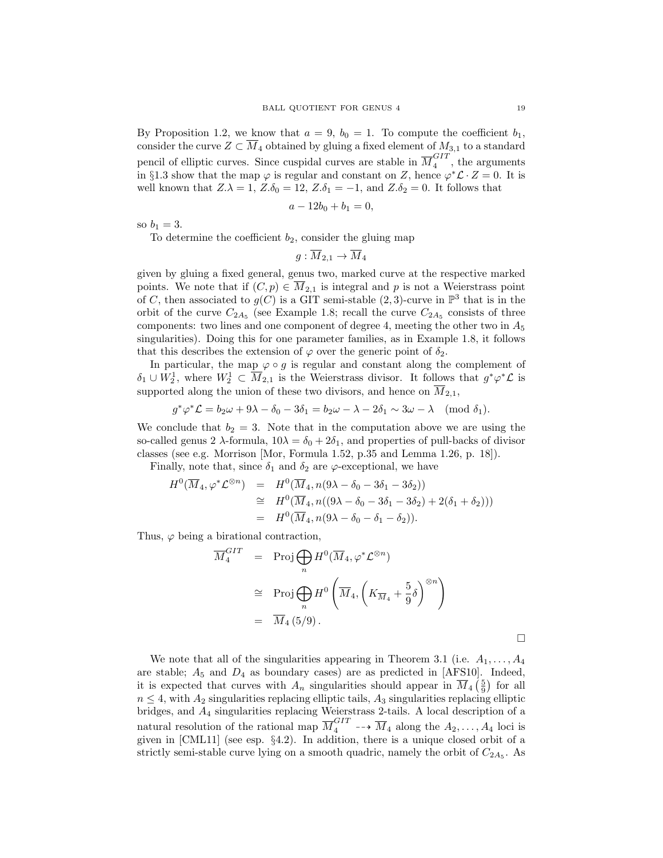By Proposition 1.2, we know that  $a = 9$ ,  $b_0 = 1$ . To compute the coefficient  $b_1$ , consider the curve  $Z \subset \overline{M}_4$  obtained by gluing a fixed element of  $M_{3,1}$  to a standard pencil of elliptic curves. Since cuspidal curves are stable in  $\overline{M}_4^{GIT}$  $\frac{1}{4}$ , the arguments in §1.3 show that the map  $\varphi$  is regular and constant on Z, hence  $\varphi^* \mathcal{L} \cdot Z = 0$ . It is well known that  $Z.\lambda = 1, Z.\delta_0 = 12, Z.\delta_1 = -1,$  and  $Z.\delta_2 = 0$ . It follows that

$$
a - 12b_0 + b_1 = 0,
$$

so  $b_1 = 3$ .

To determine the coefficient  $b_2$ , consider the gluing map

 $q: \overline{M}_{2,1} \to \overline{M}_4$ 

given by gluing a fixed general, genus two, marked curve at the respective marked points. We note that if  $(C, p) \in \overline{M}_{2,1}$  is integral and p is not a Weierstrass point of C, then associated to  $g(C)$  is a GIT semi-stable  $(2,3)$ -curve in  $\mathbb{P}^3$  that is in the orbit of the curve  $C_{2A_5}$  (see Example 1.8; recall the curve  $C_{2A_5}$  consists of three components: two lines and one component of degree 4, meeting the other two in  $A_5$ singularities). Doing this for one parameter families, as in Example 1.8, it follows that this describes the extension of  $\varphi$  over the generic point of  $\delta_2$ .

In particular, the map  $\varphi \circ g$  is regular and constant along the complement of  $\delta_1 \cup W_2^1$ , where  $W_2^1 \subset \overline{M}_{2,1}$  is the Weierstrass divisor. It follows that  $g^*\varphi^*\mathcal{L}$  is supported along the union of these two divisors, and hence on  $\overline{M}_{2,1}$ ,

$$
g^*\varphi^*\mathcal{L} = b_2\omega + 9\lambda - \delta_0 - 3\delta_1 = b_2\omega - \lambda - 2\delta_1 \sim 3\omega - \lambda \pmod{\delta_1}.
$$

We conclude that  $b_2 = 3$ . Note that in the computation above we are using the so-called genus 2  $\lambda$ -formula,  $10\lambda = \delta_0 + 2\delta_1$ , and properties of pull-backs of divisor classes (see e.g. Morrison [Mor, Formula 1.52, p.35 and Lemma 1.26, p. 18]).

Finally, note that, since  $\delta_1$  and  $\delta_2$  are  $\varphi$ -exceptional, we have

$$
H^{0}(\overline{M}_{4}, \varphi^{*} \mathcal{L}^{\otimes n}) = H^{0}(\overline{M}_{4}, n(9\lambda - \delta_{0} - 3\delta_{1} - 3\delta_{2}))
$$
  
\n
$$
\cong H^{0}(\overline{M}_{4}, n((9\lambda - \delta_{0} - 3\delta_{1} - 3\delta_{2}) + 2(\delta_{1} + \delta_{2})))
$$
  
\n
$$
= H^{0}(\overline{M}_{4}, n(9\lambda - \delta_{0} - \delta_{1} - \delta_{2})).
$$

Thus,  $\varphi$  being a birational contraction,

$$
\overline{M}_4^{GIT} = \text{Proj} \bigoplus_n H^0(\overline{M}_4, \varphi^* \mathcal{L}^{\otimes n})
$$
\n
$$
\cong \text{Proj} \bigoplus_n H^0\left(\overline{M}_4, \left(K_{\overline{M}_4} + \frac{5}{9}\delta\right)^{\otimes n}\right)
$$
\n
$$
= \overline{M}_4(5/9).
$$

We note that all of the singularities appearing in Theorem 3.1 (i.e.  $A_1, \ldots, A_4$ are stable;  $A_5$  and  $D_4$  as boundary cases) are as predicted in [AFS10]. Indeed, it is expected that curves with  $A_n$  singularities should appear in  $\overline{M}_4\left(\frac{5}{9}\right)$  for all  $n \leq 4$ , with  $A_2$  singularities replacing elliptic tails,  $A_3$  singularities replacing elliptic bridges, and A<sup>4</sup> singularities replacing Weierstrass 2-tails. A local description of a natural resolution of the rational map  $\overline{M}_4^{GIT} \dashrightarrow \overline{M}_4$  along the  $A_2, \ldots, A_4$  loci is given in [CML11] (see esp. §4.2). In addition, there is a unique closed orbit of a strictly semi-stable curve lying on a smooth quadric, namely the orbit of  $C_{2A_5}$ . As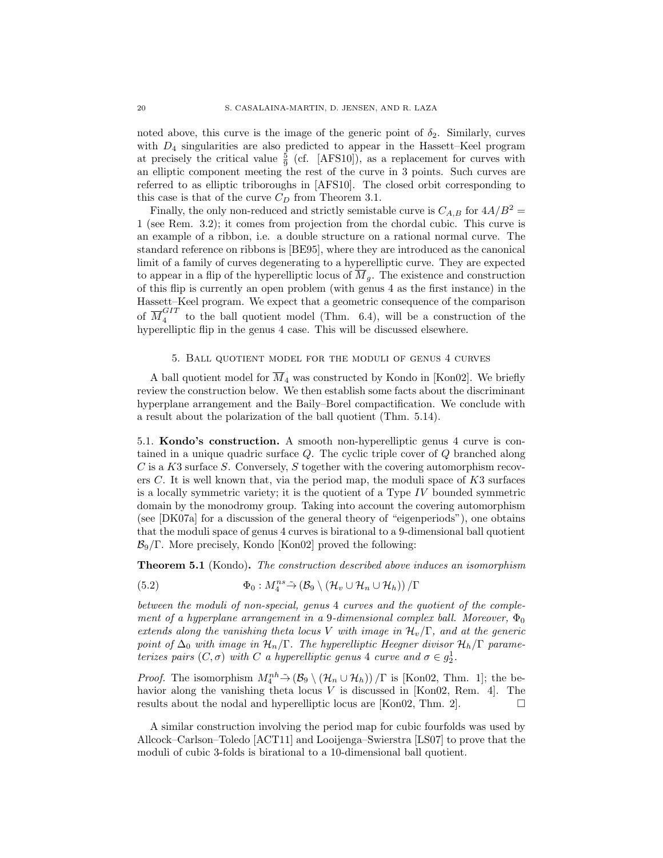noted above, this curve is the image of the generic point of  $\delta_2$ . Similarly, curves with  $D_4$  singularities are also predicted to appear in the Hassett–Keel program at precisely the critical value  $\frac{5}{9}$  (cf. [AFS10]), as a replacement for curves with an elliptic component meeting the rest of the curve in 3 points. Such curves are referred to as elliptic triboroughs in [AFS10]. The closed orbit corresponding to this case is that of the curve  $C_D$  from Theorem 3.1.

Finally, the only non-reduced and strictly semistable curve is  $C_{A,B}$  for  $4A/B^2 =$ 1 (see Rem. 3.2); it comes from projection from the chordal cubic. This curve is an example of a ribbon, i.e. a double structure on a rational normal curve. The standard reference on ribbons is [BE95], where they are introduced as the canonical limit of a family of curves degenerating to a hyperelliptic curve. They are expected to appear in a flip of the hyperelliptic locus of  $\overline{M}_q$ . The existence and construction of this flip is currently an open problem (with genus 4 as the first instance) in the Hassett–Keel program. We expect that a geometric consequence of the comparison of  $\overline{M}_4^{GIT}$  $\frac{1}{4}$  to the ball quotient model (Thm. 6.4), will be a construction of the hyperelliptic flip in the genus 4 case. This will be discussed elsewhere.

### 5. Ball quotient model for the moduli of genus 4 curves

A ball quotient model for  $\overline{M}_4$  was constructed by Kondo in [Kon02]. We briefly review the construction below. We then establish some facts about the discriminant hyperplane arrangement and the Baily–Borel compactification. We conclude with a result about the polarization of the ball quotient (Thm. 5.14).

5.1. Kondo's construction. A smooth non-hyperelliptic genus 4 curve is contained in a unique quadric surface Q. The cyclic triple cover of Q branched along  $C$  is a K3 surface S. Conversely, S together with the covering automorphism recovers C. It is well known that, via the period map, the moduli space of  $K3$  surfaces is a locally symmetric variety; it is the quotient of a Type IV bounded symmetric domain by the monodromy group. Taking into account the covering automorphism (see [DK07a] for a discussion of the general theory of "eigenperiods"), one obtains that the moduli space of genus 4 curves is birational to a 9-dimensional ball quotient  $\mathcal{B}_9/\Gamma$ . More precisely, Kondo [Kon02] proved the following:

**Theorem 5.1** (Kondo). The construction described above induces an isomorphism

(5.2) 
$$
\Phi_0: M_4^{ns} \tilde{\to} (\mathcal{B}_9 \setminus (\mathcal{H}_v \cup \mathcal{H}_n \cup \mathcal{H}_h)) / \Gamma
$$

between the moduli of non-special, genus 4 curves and the quotient of the complement of a hyperplane arrangement in a 9-dimensional complex ball. Moreover,  $\Phi_0$ extends along the vanishing theta locus V with image in  $\mathcal{H}_v/\Gamma$ , and at the generic point of  $\Delta_0$  with image in  $\mathcal{H}_n/\Gamma$ . The hyperelliptic Heegner divisor  $\mathcal{H}_n/\Gamma$  parameterizes pairs  $(C, \sigma)$  with C a hyperelliptic genus 4 curve and  $\sigma \in g_2^1$ .

*Proof.* The isomorphism  $M_4^{nh} \to (\mathcal{B}_9 \setminus (\mathcal{H}_n \cup \mathcal{H}_h)) / \Gamma$  is [Kon02, Thm. 1]; the behavior along the vanishing theta locus  $V$  is discussed in [Kon02, Rem. 4]. The results about the nodal and hyperelliptic locus are [Kon02, Thm. 2].  $\Box$ 

A similar construction involving the period map for cubic fourfolds was used by Allcock–Carlson–Toledo [ACT11] and Looijenga–Swierstra [LS07] to prove that the moduli of cubic 3-folds is birational to a 10-dimensional ball quotient.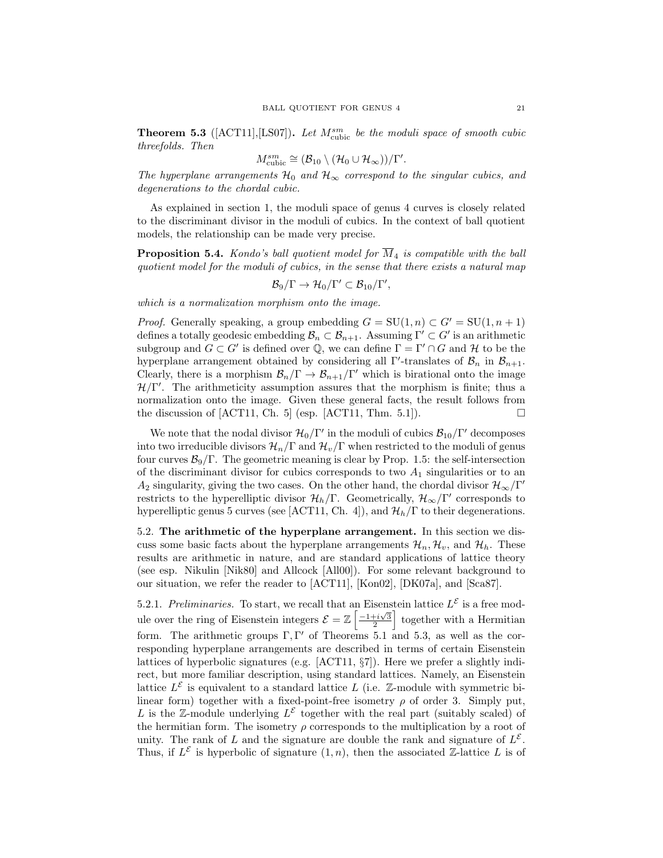**Theorem 5.3** ( $[ACT11], [LS07]$ ). Let  $M_{\text{cubic}}^{sm}$  be the moduli space of smooth cubic threefolds. Then

$$
M^{sm}_{\text{cubic}} \cong (\mathcal{B}_{10} \setminus (\mathcal{H}_0 \cup \mathcal{H}_{\infty}))/\Gamma'.
$$

The hyperplane arrangements  $\mathcal{H}_0$  and  $\mathcal{H}_{\infty}$  correspond to the singular cubics, and degenerations to the chordal cubic.

As explained in section 1, the moduli space of genus 4 curves is closely related to the discriminant divisor in the moduli of cubics. In the context of ball quotient models, the relationship can be made very precise.

**Proposition 5.4.** Kondo's ball quotient model for  $\overline{M}_4$  is compatible with the ball quotient model for the moduli of cubics, in the sense that there exists a natural map

$$
\mathcal{B}_9/\Gamma\to \mathcal{H}_0/\Gamma'\subset \mathcal{B}_{10}/\Gamma',
$$

which is a normalization morphism onto the image.

*Proof.* Generally speaking, a group embedding  $G = SU(1, n) \subset G' = SU(1, n + 1)$ defines a totally geodesic embedding  $\mathcal{B}_n \subset \mathcal{B}_{n+1}$ . Assuming  $\Gamma' \subset G'$  is an arithmetic subgroup and  $G \subset G'$  is defined over  $\mathbb{Q}$ , we can define  $\Gamma = \Gamma' \cap G$  and  $\mathcal{H}$  to be the hyperplane arrangement obtained by considering all  $\Gamma'$ -translates of  $\mathcal{B}_n$  in  $\mathcal{B}_{n+1}$ . Clearly, there is a morphism  $\mathcal{B}_n/\Gamma \to \mathcal{B}_{n+1}/\Gamma'$  which is birational onto the image  $H/\Gamma'$ . The arithmeticity assumption assures that the morphism is finite; thus a normalization onto the image. Given these general facts, the result follows from the discussion of  $[ACT11, Ch. 5]$  (esp.  $[ACT11, Thm. 5.1]$ ).

We note that the nodal divisor  $\mathcal{H}_0/\Gamma'$  in the moduli of cubics  $\mathcal{B}_{10}/\Gamma'$  decomposes into two irreducible divisors  $\mathcal{H}_n/\Gamma$  and  $\mathcal{H}_v/\Gamma$  when restricted to the moduli of genus four curves  $\mathcal{B}_9/\Gamma$ . The geometric meaning is clear by Prop. 1.5: the self-intersection of the discriminant divisor for cubics corresponds to two  $A_1$  singularities or to an  $A_2$  singularity, giving the two cases. On the other hand, the chordal divisor  $\mathcal{H}_{\infty}/\Gamma'$ restricts to the hyperelliptic divisor  $\mathcal{H}_h/\Gamma$ . Geometrically,  $\mathcal{H}_{\infty}/\Gamma'$  corresponds to hyperelliptic genus 5 curves (see [ACT11, Ch. 4]), and  $\mathcal{H}_h/\Gamma$  to their degenerations.

5.2. The arithmetic of the hyperplane arrangement. In this section we discuss some basic facts about the hyperplane arrangements  $\mathcal{H}_n, \mathcal{H}_v$ , and  $\mathcal{H}_h$ . These results are arithmetic in nature, and are standard applications of lattice theory (see esp. Nikulin [Nik80] and Allcock [All00]). For some relevant background to our situation, we refer the reader to [ACT11], [Kon02], [DK07a], and [Sca87].

5.2.1. Preliminaries. To start, we recall that an Eisenstein lattice  $L^{\mathcal{E}}$  is a free module over the ring of Eisenstein integers  $\mathcal{E} = \mathbb{Z} \left[ \frac{-1+i\sqrt{3}}{2} \right]$  together with a Hermitian form. The arithmetic groups  $\Gamma, \Gamma'$  of Theorems 5.1 and 5.3, as well as the corresponding hyperplane arrangements are described in terms of certain Eisenstein lattices of hyperbolic signatures (e.g. [ACT11, §7]). Here we prefer a slightly indirect, but more familiar description, using standard lattices. Namely, an Eisenstein lattice  $L^{\mathcal{E}}$  is equivalent to a standard lattice L (i.e. Z-module with symmetric bilinear form) together with a fixed-point-free isometry  $\rho$  of order 3. Simply put, L is the Z-module underlying  $L^{\varepsilon}$  together with the real part (suitably scaled) of the hermitian form. The isometry  $\rho$  corresponds to the multiplication by a root of unity. The rank of L and the signature are double the rank and signature of  $L^{\mathcal{E}}$ . Thus, if  $L^{\mathcal{E}}$  is hyperbolic of signature  $(1, n)$ , then the associated Z-lattice L is of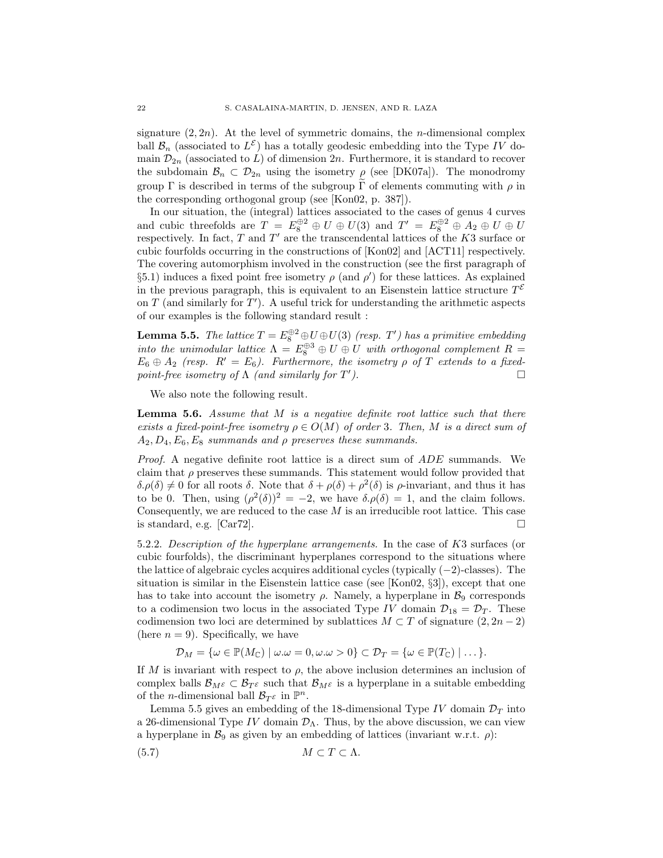signature  $(2, 2n)$ . At the level of symmetric domains, the *n*-dimensional complex ball  $\mathcal{B}_n$  (associated to  $L^{\mathcal{E}}$ ) has a totally geodesic embedding into the Type IV domain  $\mathcal{D}_{2n}$  (associated to L) of dimension 2n. Furthermore, it is standard to recover the subdomain  $\mathcal{B}_n \subset \mathcal{D}_{2n}$  using the isometry  $\rho$  (see [DK07a]). The monodromy group Γ is described in terms of the subgroup  $\tilde{\Gamma}$  of elements commuting with  $\rho$  in the corresponding orthogonal group (see [Kon02, p. 387]).

In our situation, the (integral) lattices associated to the cases of genus 4 curves and cubic threefolds are  $T = E_8^{\oplus 2} \oplus U \oplus U(3)$  and  $T' = E_8^{\oplus 2} \oplus A_2 \oplus U \oplus U$ respectively. In fact,  $T$  and  $T'$  are the transcendental lattices of the  $K3$  surface or cubic fourfolds occurring in the constructions of [Kon02] and [ACT11] respectively. The covering automorphism involved in the construction (see the first paragraph of §5.1) induces a fixed point free isometry  $\rho$  (and  $\rho'$ ) for these lattices. As explained in the previous paragraph, this is equivalent to an Eisenstein lattice structure  $T^{\mathcal{E}}$ on  $T$  (and similarly for  $T'$ ). A useful trick for understanding the arithmetic aspects of our examples is the following standard result :

**Lemma 5.5.** The lattice  $T = E_8^{\oplus 2} \oplus U \oplus U(3)$  (resp. T') has a primitive embedding into the unimodular lattice  $\Lambda = E_8^{\oplus 3} \oplus U \oplus U$  with orthogonal complement  $R =$  $E_6 \oplus A_2$  (resp.  $R' = E_6$ ). Furthermore, the isometry  $\rho$  of T extends to a fixedpoint-free isometry of  $\Lambda$  (and similarly for  $T'$ ).

We also note the following result.

**Lemma 5.6.** Assume that  $M$  is a negative definite root lattice such that there exists a fixed-point-free isometry  $\rho \in O(M)$  of order 3. Then, M is a direct sum of  $A_2, D_4, E_6, E_8$  summands and  $\rho$  preserves these summands.

Proof. A negative definite root lattice is a direct sum of ADE summands. We claim that  $\rho$  preserves these summands. This statement would follow provided that  $\delta. \rho(\delta) \neq 0$  for all roots  $\delta$ . Note that  $\delta + \rho(\delta) + \rho^2(\delta)$  is  $\rho$ -invariant, and thus it has to be 0. Then, using  $(\rho^2(\delta))^2 = -2$ , we have  $\delta \phi(\delta) = 1$ , and the claim follows. Consequently, we are reduced to the case  $M$  is an irreducible root lattice. This case is standard, e.g. [Car72].  $\Box$ 

5.2.2. Description of the hyperplane arrangements. In the case of K3 surfaces (or cubic fourfolds), the discriminant hyperplanes correspond to the situations where the lattice of algebraic cycles acquires additional cycles (typically (−2)-classes). The situation is similar in the Eisenstein lattice case (see  $[Kon02, \S3]$ ), except that one has to take into account the isometry  $\rho$ . Namely, a hyperplane in  $\mathcal{B}_9$  corresponds to a codimension two locus in the associated Type IV domain  $\mathcal{D}_{18} = \mathcal{D}_T$ . These codimension two loci are determined by sublattices  $M \subset T$  of signature  $(2, 2n-2)$ (here  $n = 9$ ). Specifically, we have

$$
\mathcal{D}_M = \{ \omega \in \mathbb{P}(M_{\mathbb{C}}) \mid \omega.\omega = 0, \omega.\omega > 0 \} \subset \mathcal{D}_T = \{ \omega \in \mathbb{P}(T_{\mathbb{C}}) \mid \dots \}.
$$

If M is invariant with respect to  $\rho$ , the above inclusion determines an inclusion of complex balls  $\mathcal{B}_{M^{\varepsilon}} \subset \mathcal{B}_{T^{\varepsilon}}$  such that  $\mathcal{B}_{M^{\varepsilon}}$  is a hyperplane in a suitable embedding of the *n*-dimensional ball  $\mathcal{B}_{T^{\varepsilon}}$  in  $\mathbb{P}^n$ .

Lemma 5.5 gives an embedding of the 18-dimensional Type IV domain  $\mathcal{D}_T$  into a 26-dimensional Type IV domain  $\mathcal{D}_{\Lambda}$ . Thus, by the above discussion, we can view a hyperplane in  $\mathcal{B}_9$  as given by an embedding of lattices (invariant w.r.t.  $\rho$ ):

$$
(5.7) \t\t\t M \subset T \subset \Lambda.
$$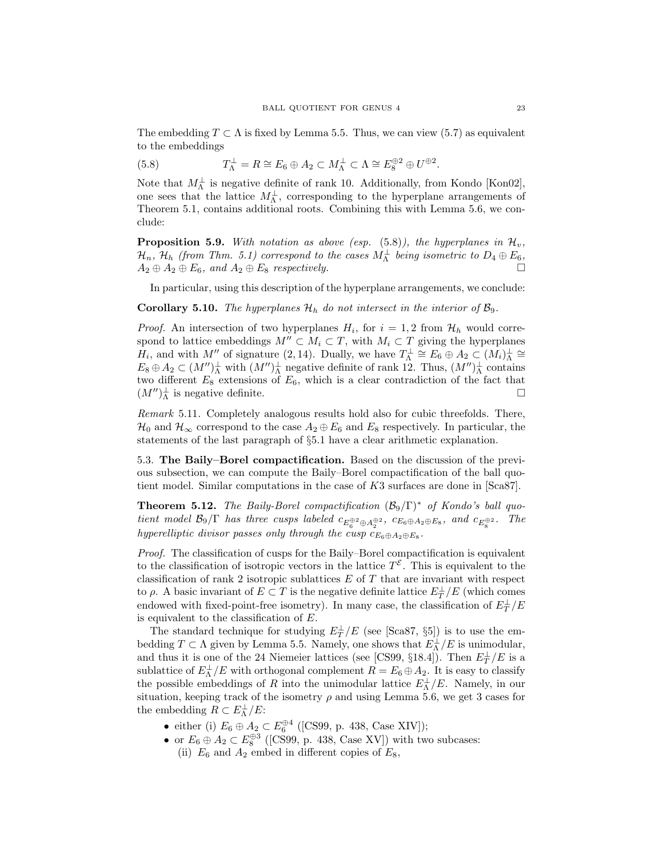The embedding  $T \subset \Lambda$  is fixed by Lemma 5.5. Thus, we can view (5.7) as equivalent to the embeddings

(5.8) 
$$
T_{\Lambda}^{\perp} = R \cong E_6 \oplus A_2 \subset M_{\Lambda}^{\perp} \subset \Lambda \cong E_8^{\oplus 2} \oplus U^{\oplus 2}.
$$

Note that  $M_{\Lambda}^{\perp}$  is negative definite of rank 10. Additionally, from Kondo [Kon02], one sees that the lattice  $M_{\Lambda}^{\perp}$ , corresponding to the hyperplane arrangements of Theorem 5.1, contains additional roots. Combining this with Lemma 5.6, we conclude:

**Proposition 5.9.** With notation as above (esp.  $(5.8)$ ), the hyperplanes in  $\mathcal{H}_v$ ,  $\mathcal{H}_n$ ,  $\mathcal{H}_h$  (from Thm. 5.1) correspond to the cases  $M_\Lambda^\perp$  being isometric to  $D_4\oplus E_6,$  $A_2 \oplus A_2 \oplus E_6$ , and  $A_2 \oplus E_8$  respectively.

In particular, using this description of the hyperplane arrangements, we conclude:

**Corollary 5.10.** The hyperplanes  $\mathcal{H}_h$  do not intersect in the interior of  $\mathcal{B}_9$ .

*Proof.* An intersection of two hyperplanes  $H_i$ , for  $i = 1, 2$  from  $\mathcal{H}_h$  would correspond to lattice embeddings  $M'' \subset M_i \subset T$ , with  $M_i \subset T$  giving the hyperplanes  $H_i$ , and with M'' of signature (2, 14). Dually, we have  $T_{\Lambda}^{\perp} \cong E_6 \oplus A_2 \subset (M_i)^{\perp}_{\Lambda} \cong$  $E_8 \oplus A_2 \subset (M'')^{\perp}_{\Lambda}$  with  $(M'')^{\perp}_{\Lambda}$  negative definite of rank 12. Thus,  $(M'')^{\perp}_{\Lambda}$  contains two different  $E_8$  extensions of  $E_6$ , which is a clear contradiction of the fact that  $(M'')^{\perp}_{\Lambda}$  is negative definite.

Remark 5.11. Completely analogous results hold also for cubic threefolds. There,  $\mathcal{H}_0$  and  $\mathcal{H}_{\infty}$  correspond to the case  $A_2 \oplus E_6$  and  $E_8$  respectively. In particular, the statements of the last paragraph of §5.1 have a clear arithmetic explanation.

5.3. The Baily–Borel compactification. Based on the discussion of the previous subsection, we can compute the Baily–Borel compactification of the ball quotient model. Similar computations in the case of K3 surfaces are done in [Sca87].

**Theorem 5.12.** The Baily-Borel compactification  $(\mathcal{B}_9/\Gamma)^*$  of Kondo's ball quotient model  $\mathcal{B}_9/\Gamma$  has three cusps labeled  $c_{E_6^{\oplus 2} \oplus A_2^{\oplus 2}}$ ,  $c_{E_6 \oplus A_2 \oplus E_8}$ , and  $c_{E_8^{\oplus 2}}$ . The hyperelliptic divisor passes only through the cusp  $c_{E_6 \oplus A_2 \oplus E_8}$ .

Proof. The classification of cusps for the Baily–Borel compactification is equivalent to the classification of isotropic vectors in the lattice  $T^{\mathcal{E}}$ . This is equivalent to the classification of rank 2 isotropic sublattices  $E$  of  $T$  that are invariant with respect to  $\rho$ . A basic invariant of  $E \subset T$  is the negative definite lattice  $E_T^{\perp}/E$  (which comes endowed with fixed-point-free isometry). In many case, the classification of  $E_T^\perp/E$ is equivalent to the classification of E.

The standard technique for studying  $E_T^{\perp}/E$  (see [Sca87, §5]) is to use the embedding  $T \subset \Lambda$  given by Lemma 5.5. Namely, one shows that  $E_{\Lambda}^{\perp}/E$  is unimodular, and thus it is one of the 24 Niemeier lattices (see [CS99, §18.4]). Then  $E_T^{\perp}/E$  is a sublattice of  $E_{\Lambda}^{\perp}/E$  with orthogonal complement  $R = E_6 \oplus A_2$ . It is easy to classify the possible embeddings of R into the unimodular lattice  $E_{\Lambda}^{\perp}/E$ . Namely, in our situation, keeping track of the isometry  $\rho$  and using Lemma 5.6, we get 3 cases for the embedding  $R \subset E_{\Lambda}^{\perp}/E$ :

- either (i)  $E_6 \oplus A_2 \subset E_6^{\oplus 4}$  ([CS99, p. 438, Case XIV]);
- or  $E_6 \oplus A_2 \subset E_8^{\oplus 3}$  ([CS99, p. 438, Case XV]) with two subcases: (ii)  $E_6$  and  $A_2$  embed in different copies of  $E_8$ ,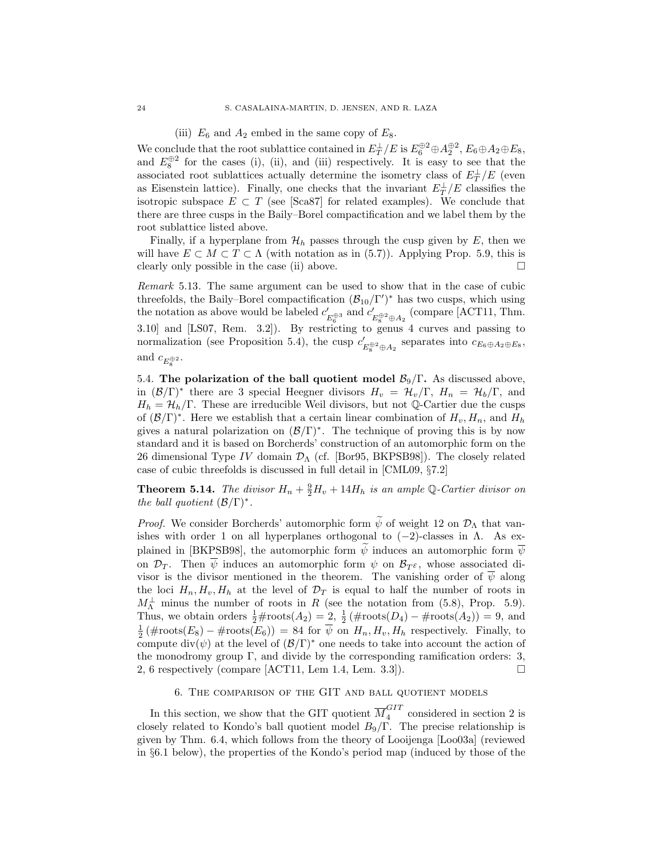(iii)  $E_6$  and  $A_2$  embed in the same copy of  $E_8$ .

We conclude that the root sublattice contained in  $E_T^{\perp}/E$  is  $E_6^{\oplus 2} \oplus A_2^{\oplus 2}$ ,  $E_6 \oplus A_2 \oplus E_8$ , and  $E_8^{\oplus 2}$  for the cases (i), (ii), and (iii) respectively. It is easy to see that the associated root sublattices actually determine the isometry class of  $E_T^{\perp}/E$  (even as Eisenstein lattice). Finally, one checks that the invariant  $E_T^{\perp}/E$  classifies the isotropic subspace  $E \subset T$  (see [Sca87] for related examples). We conclude that there are three cusps in the Baily–Borel compactification and we label them by the root sublattice listed above.

Finally, if a hyperplane from  $\mathcal{H}_h$  passes through the cusp given by E, then we will have  $E \subset M \subset T \subset \Lambda$  (with notation as in (5.7)). Applying Prop. 5.9, this is clearly only possible in the case (ii) above.  $\Box$ 

Remark 5.13. The same argument can be used to show that in the case of cubic threefolds, the Baily–Borel compactification  $(\mathcal{B}_{10}/\Gamma')^*$  has two cusps, which using the notation as above would be labeled  $c'$  $e_{E_6^{\oplus 3}}'$  and  $e_{\underline{i}}'$  $E_{\rm g}^{\oplus 2}$   $\oplus$   $A_2$  (compare [ACT11, Thm. 3.10] and [LS07, Rem. 3.2]). By restricting to genus 4 curves and passing to normalization (see Proposition 5.4), the cusp  $c'$  $E_8^{\oplus 2}$  ⊕ $A_2$  separates into  $c_{E_6 \oplus A_2 \oplus E_8}$ , and  $c_{E_8^{\oplus 2}}$ .

5.4. The polarization of the ball quotient model  $\mathcal{B}_9/\Gamma$ . As discussed above, in  $(\mathcal{B}/\Gamma)^*$  there are 3 special Heegner divisors  $H_v = \mathcal{H}_v/\Gamma$ ,  $H_n = \mathcal{H}_b/\Gamma$ , and  $H_h = \mathcal{H}_h/\Gamma$ . These are irreducible Weil divisors, but not Q-Cartier due the cusps of  $(\mathcal{B}/\Gamma)^*$ . Here we establish that a certain linear combination of  $H_v, H_n$ , and  $H_h$ gives a natural polarization on  $(\mathcal{B}/\Gamma)^*$ . The technique of proving this is by now standard and it is based on Borcherds' construction of an automorphic form on the 26 dimensional Type IV domain  $\mathcal{D}_{\Lambda}$  (cf. [Bor95, BKPSB98]). The closely related case of cubic threefolds is discussed in full detail in [CML09, §7.2]

**Theorem 5.14.** The divisor  $H_n + \frac{9}{2}H_v + 14H_h$  is an ample Q-Cartier divisor on the ball quotient  $(\mathcal{B}/\Gamma)^*$ .

*Proof.* We consider Borcherds' automorphic form  $\tilde{\psi}$  of weight 12 on  $\mathcal{D}_{\Lambda}$  that vanishes with order 1 on all hyperplanes orthogonal to  $(-2)$ -classes in  $\Lambda$ . As explained in [BKPSB98], the automorphic form  $\psi$  induces an automorphic form  $\overline{\psi}$ on  $\mathcal{D}_T$ . Then  $\overline{\psi}$  induces an automorphic form  $\psi$  on  $\mathcal{B}_T\epsilon$ , whose associated divisor is the divisor mentioned in the theorem. The vanishing order of  $\overline{\psi}$  along the loci  $H_n, H_v, H_h$  at the level of  $\mathcal{D}_T$  is equal to half the number of roots in  $M_\Lambda^{\perp}$  minus the number of roots in R (see the notation from (5.8), Prop. 5.9). Thus, we obtain orders  $\frac{1}{2}$ #roots( $A_2$ ) = 2,  $\frac{1}{2}$ (#roots( $D_4$ ) – #roots( $A_2$ )) = 9, and  $\frac{1}{2}$  (#roots( $E_8$ ) – #roots( $E_6$ )) = 84 for  $\overline{\psi}$  on  $H_n$ ,  $H_v$ ,  $H_h$  respectively. Finally, to compute div( $\psi$ ) at the level of  $(\mathcal{B}/\Gamma)^*$  one needs to take into account the action of the monodromy group  $\Gamma$ , and divide by the corresponding ramification orders: 3, 2, 6 respectively (compare [ACT11, Lem 1.4, Lem. 3.3]).

## 6. The comparison of the GIT and ball quotient models

In this section, we show that the GIT quotient  $\overline{M}_4^{GIT}$  $\frac{1}{4}$  considered in section 2 is closely related to Kondo's ball quotient model  $B_9/\Gamma$ . The precise relationship is given by Thm. 6.4, which follows from the theory of Looijenga [Loo03a] (reviewed in §6.1 below), the properties of the Kondo's period map (induced by those of the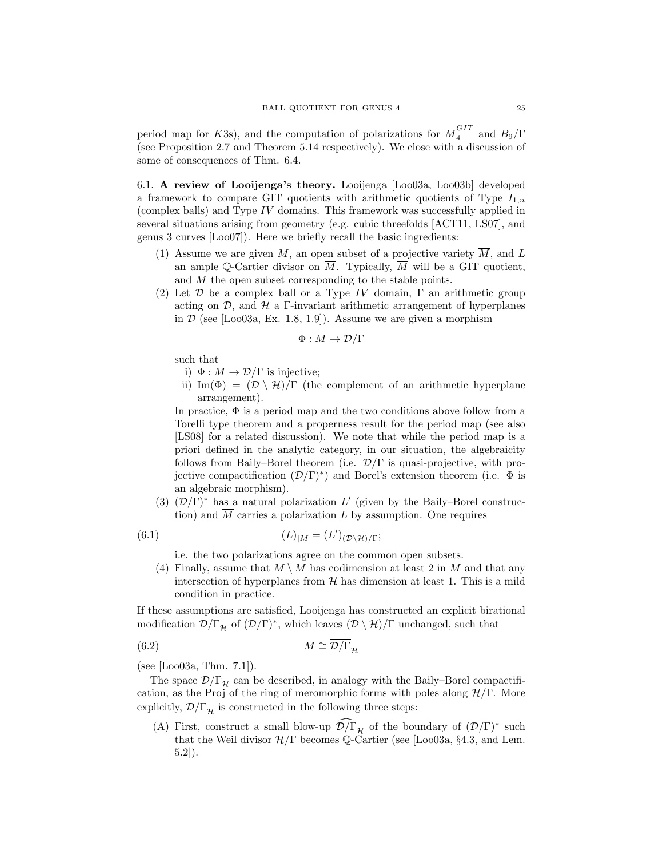period map for K3s), and the computation of polarizations for  $\overline{M}_4^{GIT}$  and  $B_9/\Gamma$ (see Proposition 2.7 and Theorem 5.14 respectively). We close with a discussion of some of consequences of Thm. 6.4.

6.1. A review of Looijenga's theory. Looijenga [Loo03a, Loo03b] developed a framework to compare GIT quotients with arithmetic quotients of Type  $I_{1,n}$ (complex balls) and Type IV domains. This framework was successfully applied in several situations arising from geometry (e.g. cubic threefolds [ACT11, LS07], and genus 3 curves [Loo07]). Here we briefly recall the basic ingredients:

- (1) Assume we are given  $M$ , an open subset of a projective variety  $M$ , and  $L$ an ample Q-Cartier divisor on  $\overline{M}$ . Typically,  $\overline{M}$  will be a GIT quotient, and M the open subset corresponding to the stable points.
- (2) Let  $\mathcal D$  be a complex ball or a Type IV domain,  $\Gamma$  an arithmetic group acting on  $\mathcal{D}$ , and  $\mathcal{H}$  a Γ-invariant arithmetic arrangement of hyperplanes in  $\mathcal D$  (see [Loo03a, Ex. 1.8, 1.9]). Assume we are given a morphism

$$
\Phi: M \to \mathcal{D}/\Gamma
$$

such that

- i)  $\Phi : M \to \mathcal{D}/\Gamma$  is injective;
- ii) Im( $\Phi$ ) =  $(D \setminus \mathcal{H})/\Gamma$  (the complement of an arithmetic hyperplane arrangement).

In practice,  $\Phi$  is a period map and the two conditions above follow from a Torelli type theorem and a properness result for the period map (see also [LS08] for a related discussion). We note that while the period map is a priori defined in the analytic category, in our situation, the algebraicity follows from Baily–Borel theorem (i.e.  $\mathcal{D}/\Gamma$  is quasi-projective, with projective compactification  $(\mathcal{D}/\Gamma)^*$  and Borel's extension theorem (i.e.  $\Phi$  is an algebraic morphism).

(3)  $(D/\Gamma)^*$  has a natural polarization L' (given by the Baily–Borel construction) and  $\overline{M}$  carries a polarization L by assumption. One requires

(6.1) 
$$
(L)_{|M} = (L')_{(\mathcal{D}\backslash \mathcal{H})/\Gamma};
$$

i.e. the two polarizations agree on the common open subsets.

(4) Finally, assume that  $M \setminus M$  has codimension at least 2 in M and that any intersection of hyperplanes from  $H$  has dimension at least 1. This is a mild condition in practice.

If these assumptions are satisfied, Looijenga has constructed an explicit birational modification  $\overline{\mathcal{D}/\Gamma}_\mathcal{H}$  of  $(\mathcal{D}/\Gamma)^*$ , which leaves  $(\mathcal{D}\setminus\mathcal{H})/\Gamma$  unchanged, such that

$$
\overline{M} \cong \overline{\mathcal{D}/\Gamma}_{\mathcal{H}}
$$

(see [Loo03a, Thm. 7.1]).

The space  $\overline{\mathcal{D}/\Gamma}_{\mathcal{H}}$  can be described, in analogy with the Baily–Borel compactification, as the Proj of the ring of meromorphic forms with poles along  $H/\Gamma$ . More explicitly,  $\overline{\mathcal{D}/\Gamma}_{\mathcal{H}}$  is constructed in the following three steps:

(A) First, construct a small blow-up  $\mathcal{D}/\Gamma_{\mathcal{H}}$  of the boundary of  $(\mathcal{D}/\Gamma)^*$  such that the Weil divisor  $\mathcal{H}/\Gamma$  becomes Q-Cartier (see [Loo03a, §4.3, and Lem. 5.2]).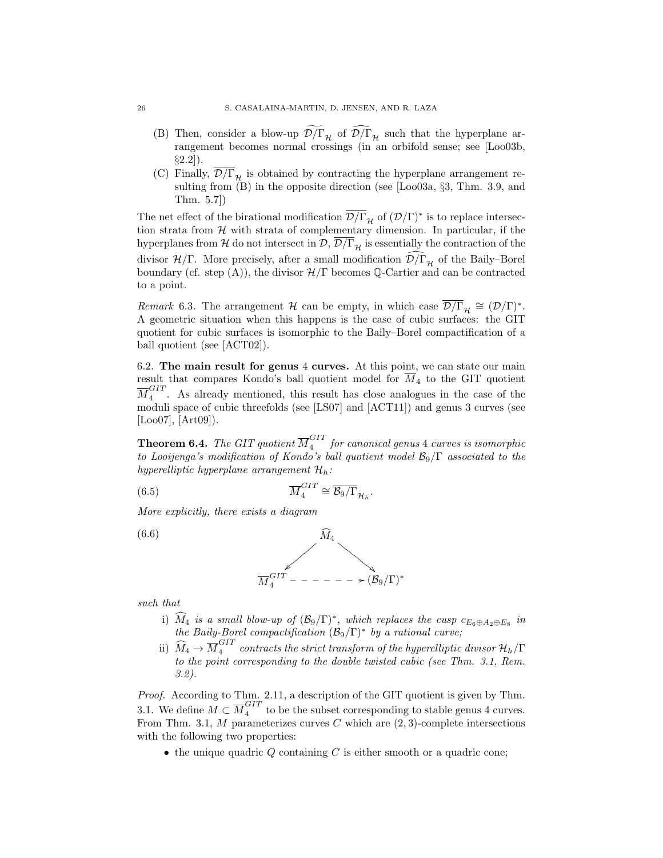- (B) Then, consider a blow-up  $\mathcal{D}/\Gamma_{\mathcal{H}}$  of  $\mathcal{D}/\Gamma_{\mathcal{H}}$  such that the hyperplane arrangement becomes normal crossings (in an orbifold sense; see [Loo03b, §2.2]).
- (C) Finally,  $\overline{\mathcal{D}/\Gamma}_{\mathcal{H}}$  is obtained by contracting the hyperplane arrangement resulting from (B) in the opposite direction (see [Loo03a, §3, Thm. 3.9, and Thm. 5.7])

The net effect of the birational modification  $\overline{\mathcal{D}/\Gamma}_\mathcal{H}$  of  $(\mathcal{D}/\Gamma)^*$  is to replace intersection strata from  $H$  with strata of complementary dimension. In particular, if the hyperplanes from H do not intersect in  $\mathcal{D}, \overline{\mathcal{D}/\Gamma}_{\mathcal{H}}$  is essentially the contraction of the divisor  $\mathcal{H}/\Gamma$ . More precisely, after a small modification  $\mathcal{D}/\Gamma_{\mathcal{H}}$  of the Baily–Borel boundary (cf. step (A)), the divisor  $\mathcal{H}/\Gamma$  becomes Q-Cartier and can be contracted to a point.

Remark 6.3. The arrangement H can be empty, in which case  $\overline{\mathcal{D}/\Gamma}_{\mathcal{H}} \cong (\mathcal{D}/\Gamma)^*$ . A geometric situation when this happens is the case of cubic surfaces: the GIT quotient for cubic surfaces is isomorphic to the Baily–Borel compactification of a ball quotient (see [ACT02]).

6.2. The main result for genus 4 curves. At this point, we can state our main result that compares Kondo's ball quotient model for  $\overline{M}_4$  to the GIT quotient  ${\overline M}_4^{GIT}$  $\frac{1}{4}$ . As already mentioned, this result has close analogues in the case of the moduli space of cubic threefolds (see [LS07] and [ACT11]) and genus 3 curves (see  $[Loo07]$ ,  $[Art09]$ ).

**Theorem 6.4.** The GIT quotient  $\overline{M}_4^{GIT}$  $\frac{1}{4}$  for canonical genus 4 curves is isomorphic to Looijenga's modification of Kondo's ball quotient model  $\mathcal{B}_9/\Gamma$  associated to the hyperelliptic hyperplane arrangement  $\mathcal{H}_h$ :

(6.5) 
$$
\overline{M}_4^{GIT} \cong \overline{\mathcal{B}_9/\Gamma}_{\mathcal{H}_h}.
$$

More explicitly, there exists a diagram



such that

- i)  $\widehat{M}_4$  is a small blow-up of  $(\mathcal{B}_9/\Gamma)^*$ , which replaces the cusp  $c_{E_6\oplus A_2\oplus E_8}$  in the Baily-Borel compactification  $(\mathcal{B}_9/\Gamma)^*$  by a rational curve;
- ii)  $\widehat{M}_4 \rightarrow \overline{M}_4^{GIT}$  $\frac{q+1}{4}$  contracts the strict transform of the hyperelliptic divisor  $\mathcal{H}_h/\Gamma$ to the point corresponding to the double twisted cubic (see Thm. 3.1, Rem. 3.2).

Proof. According to Thm. 2.11, a description of the GIT quotient is given by Thm. 3.1. We define  $M \subset \overline{M}_4^{GIT}$  $\frac{311}{4}$  to be the subset corresponding to stable genus 4 curves. From Thm. 3.1,  $M$  parameterizes curves  $C$  which are  $(2, 3)$ -complete intersections with the following two properties:

 $\bullet$  the unique quadric Q containing C is either smooth or a quadric cone;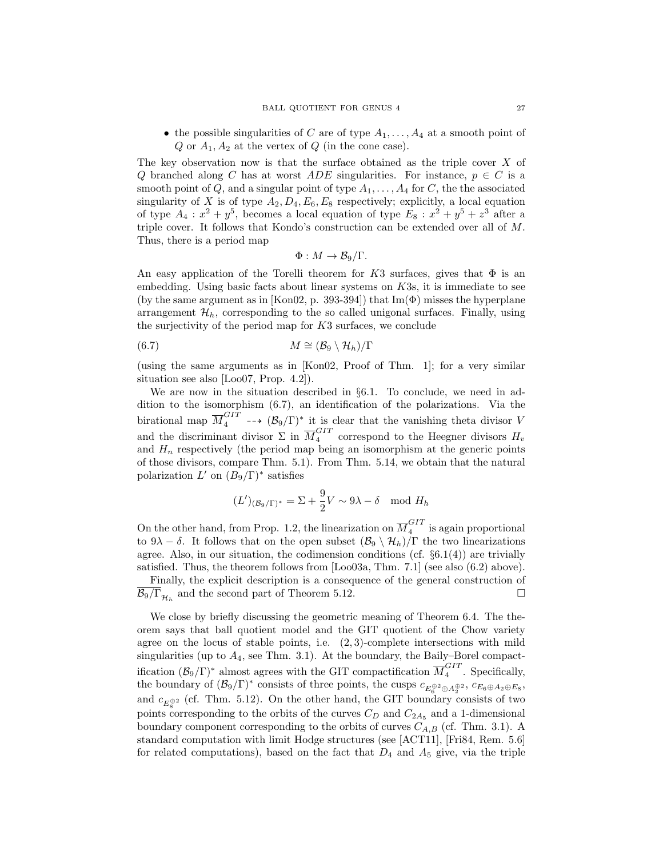• the possible singularities of C are of type  $A_1, \ldots, A_4$  at a smooth point of  $Q$  or  $A_1, A_2$  at the vertex of  $Q$  (in the cone case).

The key observation now is that the surface obtained as the triple cover X of Q branched along C has at worst ADE singularities. For instance,  $p \in C$  is a smooth point of  $Q$ , and a singular point of type  $A_1, \ldots, A_4$  for C, the the associated singularity of X is of type  $A_2, D_4, E_6, E_8$  respectively; explicitly, a local equation of type  $A_4: x^2 + y^5$ , becomes a local equation of type  $E_8: x^2 + y^5 + z^3$  after a triple cover. It follows that Kondo's construction can be extended over all of M. Thus, there is a period map

$$
\Phi: M \to \mathcal{B}_9/\Gamma.
$$

An easy application of the Torelli theorem for K3 surfaces, gives that  $\Phi$  is an embedding. Using basic facts about linear systems on K3s, it is immediate to see (by the same argument as in [Kon02, p. 393-394]) that  $\text{Im}(\Phi)$  misses the hyperplane arrangement  $\mathcal{H}_h$ , corresponding to the so called unigonal surfaces. Finally, using the surjectivity of the period map for K3 surfaces, we conclude

$$
(6.7) \t\t\t\t M \cong (\mathcal{B}_9 \setminus \mathcal{H}_h)/\Gamma
$$

(using the same arguments as in [Kon02, Proof of Thm. 1]; for a very similar situation see also [Loo07, Prop. 4.2]).

We are now in the situation described in §6.1. To conclude, we need in addition to the isomorphism (6.7), an identification of the polarizations. Via the birational map  $\overline{M}_4^{GIT}$  --+  $(\mathcal{B}_9/\Gamma)^*$  it is clear that the vanishing theta divisor V and the discriminant divisor  $\Sigma$  in  $\overline{M}_4^{GIT}$  $\frac{1}{4}$  correspond to the Heegner divisors  $H_v$ and  $H_n$  respectively (the period map being an isomorphism at the generic points of those divisors, compare Thm. 5.1). From Thm. 5.14, we obtain that the natural polarization  $L'$  on  $(B_9/\Gamma)^*$  satisfies

$$
(L')_{(\mathcal{B}_9/\Gamma)^*} = \Sigma + \frac{9}{2}V \sim 9\lambda - \delta \mod H_h
$$

On the other hand, from Prop. 1.2, the linearization on  $\overline{M}_4^{GIT}$  $\frac{1}{4}$  is again proportional to  $9\lambda - \delta$ . It follows that on the open subset  $(\mathcal{B}_9 \setminus \mathcal{H}_h)/\Gamma$  the two linearizations agree. Also, in our situation, the codimension conditions (cf.  $\S6.1(4)$ ) are trivially satisfied. Thus, the theorem follows from [Loo03a, Thm. 7.1] (see also (6.2) above).

Finally, the explicit description is a consequence of the general construction of  $\overline{\mathcal{B}_9/\Gamma}_{\mathcal{H}_h}$  and the second part of Theorem 5.12.

We close by briefly discussing the geometric meaning of Theorem 6.4. The theorem says that ball quotient model and the GIT quotient of the Chow variety agree on the locus of stable points, i.e.  $(2, 3)$ -complete intersections with mild singularities (up to  $A_4$ , see Thm. 3.1). At the boundary, the Baily–Borel compactification  $(\mathcal{B}_9/\Gamma)^*$  almost agrees with the GIT compactification  $\overline{M}_4^{GIT}$  $\frac{1}{4}$ . Specifically, the boundary of  $(\mathcal{B}_9/\Gamma)^*$  consists of three points, the cusps  $c_{E_6^{\oplus 2} \oplus A_2^{\oplus 2}}$ ,  $c_{E_6 \oplus A_2 \oplus E_8}$ , and  $c_{E_8^{\oplus 2}}$  (cf. Thm. 5.12). On the other hand, the GIT boundary consists of two points corresponding to the orbits of the curves  $C_D$  and  $C_{2A_5}$  and a 1-dimensional boundary component corresponding to the orbits of curves  $C_{A,B}$  (cf. Thm. 3.1). A standard computation with limit Hodge structures (see [ACT11], [Fri84, Rem. 5.6] for related computations), based on the fact that  $D_4$  and  $A_5$  give, via the triple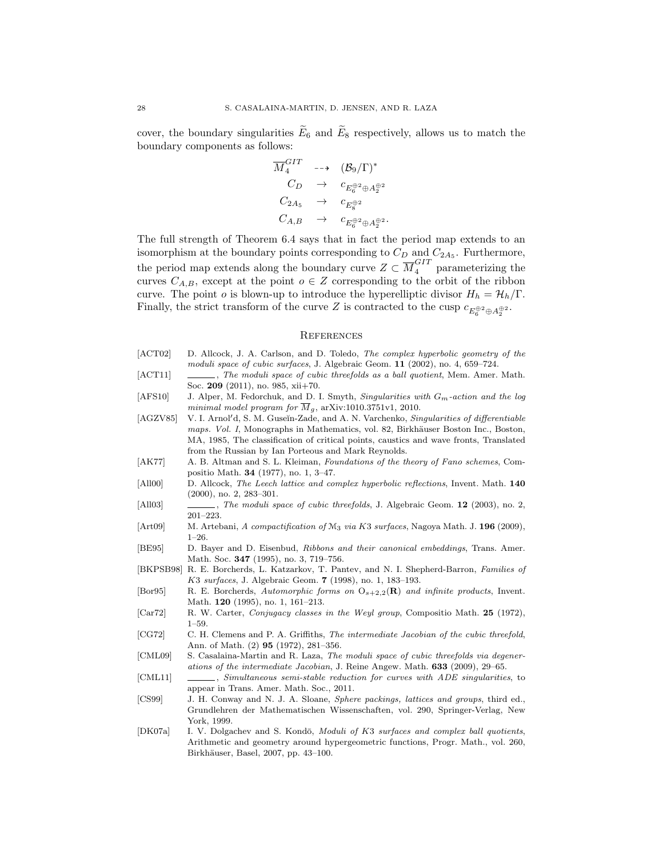cover, the boundary singularities  $\widetilde{E}_6$  and  $\widetilde{E}_8$  respectively, allows us to match the boundary components as follows:

$$
\overline{M}_4^{GIT} \longrightarrow (\mathcal{B}_9/\Gamma)^* \nC_D \rightarrow c_{E_6^{\oplus 2} \oplus A_2^{\oplus 2}} \nC_{2A_5} \rightarrow c_{E_8^{\oplus 2}} \nC_{A,B} \rightarrow c_{E_6^{\oplus 2} \oplus A_2^{\oplus 2}}.
$$

The full strength of Theorem 6.4 says that in fact the period map extends to an isomorphism at the boundary points corresponding to  $C_D$  and  $C_{2A_5}$ . Furthermore, the period map extends along the boundary curve  $Z \subset \overline{M}_4^{GIT}$  parameterizing the curves  $C_{A,B}$ , except at the point  $o \in Z$  corresponding to the orbit of the ribbon curve. The point *o* is blown-up to introduce the hyperelliptic divisor  $H_h = H_h/\Gamma$ . Finally, the strict transform of the curve Z is contracted to the cusp  $c_{E_6^{\oplus 2} \oplus A_2^{\oplus 2}}$ .

#### **REFERENCES**

- [ACT02] D. Allcock, J. A. Carlson, and D. Toledo, *The complex hyperbolic geometry of the* moduli space of cubic surfaces, J. Algebraic Geom. 11 (2002), no. 4, 659–724.
- [ACT11] , The moduli space of cubic threefolds as a ball quotient, Mem. Amer. Math. Soc. 209 (2011), no. 985, xii+70.
- [AFS10] J. Alper, M. Fedorchuk, and D. I. Smyth, *Singularities with*  $G_m$ -action and the log minimal model program for  $\overline{M}_g$ , arXiv:1010.3751v1, 2010.
- [AGZV85] V. I. Arnol'd, S. M. Guseĭn-Zade, and A. N. Varchenko, Singularities of differentiable maps. Vol. I, Monographs in Mathematics, vol. 82, Birkhäuser Boston Inc., Boston, MA, 1985, The classification of critical points, caustics and wave fronts, Translated from the Russian by Ian Porteous and Mark Reynolds.
- [AK77] A. B. Altman and S. L. Kleiman, Foundations of the theory of Fano schemes, Compositio Math. 34 (1977), no. 1, 3–47.
- [All00] D. Allcock, The Leech lattice and complex hyperbolic reflections, Invent. Math. 140 (2000), no. 2, 283–301.
- [All03] , The moduli space of cubic threefolds, J. Algebraic Geom. 12 (2003), no. 2, 201–223.
- [Art09] M. Artebani, A compactification of M<sub>3</sub> via K3 surfaces, Nagoya Math. J. 196 (2009), 1–26.
- [BE95] D. Bayer and D. Eisenbud, Ribbons and their canonical embeddings, Trans. Amer. Math. Soc. 347 (1995), no. 3, 719–756.
- [BKPSB98] R. E. Borcherds, L. Katzarkov, T. Pantev, and N. I. Shepherd-Barron, Families of K3 surfaces, J. Algebraic Geom. 7 (1998), no. 1, 183–193.
- [Bor95] R. E. Borcherds, Automorphic forms on  $O_{s+2,2}(\mathbf{R})$  and infinite products, Invent. Math. 120 (1995), no. 1, 161–213.
- [Car72] R. W. Carter, Conjugacy classes in the Weyl group, Compositio Math. 25 (1972), 1–59.
- [CG72] C. H. Clemens and P. A. Griffiths, The intermediate Jacobian of the cubic threefold, Ann. of Math. (2) 95 (1972), 281–356.
- [CML09] S. Casalaina-Martin and R. Laza, The moduli space of cubic threefolds via degenerations of the intermediate Jacobian, J. Reine Angew. Math. 633 (2009), 29–65.
- [CML11] , Simultaneous semi-stable reduction for curves with ADE singularities, to appear in Trans. Amer. Math. Soc., 2011.
- [CS99] J. H. Conway and N. J. A. Sloane, Sphere packings, lattices and groups, third ed., Grundlehren der Mathematischen Wissenschaften, vol. 290, Springer-Verlag, New York, 1999.
- [DK07a] I. V. Dolgachev and S. Kondō, Moduli of K3 surfaces and complex ball quotients, Arithmetic and geometry around hypergeometric functions, Progr. Math., vol. 260, Birkhäuser, Basel, 2007, pp. 43-100.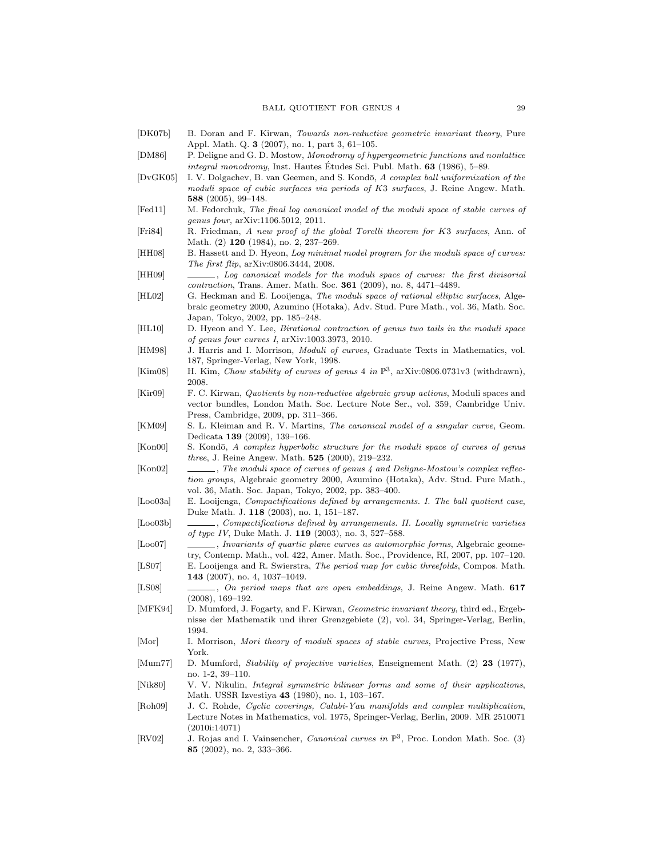- [DK07b] B. Doran and F. Kirwan, Towards non-reductive geometric invariant theory, Pure Appl. Math. Q. 3 (2007), no. 1, part 3, 61–105.
- [DM86] P. Deligne and G. D. Mostow, Monodromy of hypergeometric functions and nonlattice integral monodromy, Inst. Hautes Études Sci. Publ. Math.  $63$  (1986), 5–89.
- [DvGK05] I. V. Dolgachev, B. van Geemen, and S. Kondō, A complex ball uniformization of the moduli space of cubic surfaces via periods of K3 surfaces, J. Reine Angew. Math. 588 (2005), 99–148.
- [Fed11] M. Fedorchuk, The final log canonical model of the moduli space of stable curves of genus four, arXiv:1106.5012, 2011.
- [Fri84] R. Friedman, A new proof of the global Torelli theorem for K3 surfaces, Ann. of Math. (2) 120 (1984), no. 2, 237-269.
- [HH08] B. Hassett and D. Hyeon, Log minimal model program for the moduli space of curves: The first flip, arXiv:0806.3444, 2008.
- [HH09] , Log canonical models for the moduli space of curves: the first divisorial contraction, Trans. Amer. Math. Soc. 361 (2009), no. 8, 4471–4489.
- [HL02] G. Heckman and E. Looijenga, The moduli space of rational elliptic surfaces, Algebraic geometry 2000, Azumino (Hotaka), Adv. Stud. Pure Math., vol. 36, Math. Soc. Japan, Tokyo, 2002, pp. 185–248.
- [HL10] D. Hyeon and Y. Lee, Birational contraction of genus two tails in the moduli space of genus four curves I, arXiv:1003.3973, 2010.
- [HM98] J. Harris and I. Morrison, *Moduli of curves*, Graduate Texts in Mathematics, vol. 187, Springer-Verlag, New York, 1998.
- [Kim08] H. Kim, Chow stability of curves of genus 4 in  $\mathbb{P}^3$ , arXiv:0806.0731v3 (withdrawn), 2008.
- [Kir09] F. C. Kirwan, Quotients by non-reductive algebraic group actions, Moduli spaces and vector bundles, London Math. Soc. Lecture Note Ser., vol. 359, Cambridge Univ. Press, Cambridge, 2009, pp. 311–366.
- [KM09] S. L. Kleiman and R. V. Martins, *The canonical model of a singular curve*, Geom. Dedicata 139 (2009), 139–166.
- [Kon00] S. Kondō, A complex hyperbolic structure for the moduli space of curves of genus three, J. Reine Angew. Math. 525 (2000), 219–232.
- [Kon02] , The moduli space of curves of genus 4 and Deligne-Mostow's complex reflection groups, Algebraic geometry 2000, Azumino (Hotaka), Adv. Stud. Pure Math., vol. 36, Math. Soc. Japan, Tokyo, 2002, pp. 383–400.
- [Loo03a] E. Looijenga, *Compactifications defined by arrangements. I. The ball quotient case*, Duke Math. J. 118 (2003), no. 1, 151–187.
- [Loo03b] , Compactifications defined by arrangements. II. Locally symmetric varieties of type IV, Duke Math. J. 119 (2003), no. 3, 527–588.
- [Loo07] , Invariants of quartic plane curves as automorphic forms, Algebraic geometry, Contemp. Math., vol. 422, Amer. Math. Soc., Providence, RI, 2007, pp. 107–120.
- [LS07] E. Looijenga and R. Swierstra, The period map for cubic threefolds, Compos. Math. 143 (2007), no. 4, 1037–1049.
- [LS08] , On period maps that are open embeddings, J. Reine Angew. Math. 617 (2008), 169–192.
- [MFK94] D. Mumford, J. Fogarty, and F. Kirwan, Geometric invariant theory, third ed., Ergebnisse der Mathematik und ihrer Grenzgebiete (2), vol. 34, Springer-Verlag, Berlin, 1994.
- [Mor] I. Morrison, Mori theory of moduli spaces of stable curves, Projective Press, New York.
- [Mum77] D. Mumford, Stability of projective varieties, Enseignement Math. (2) 23 (1977), no. 1-2, 39–110.
- [Nik80] V. V. Nikulin, Integral symmetric bilinear forms and some of their applications, Math. USSR Izvestiya 43 (1980), no. 1, 103–167.
- [Roh09] J. C. Rohde, Cyclic coverings, Calabi-Yau manifolds and complex multiplication, Lecture Notes in Mathematics, vol. 1975, Springer-Verlag, Berlin, 2009. MR 2510071 (2010i:14071)
- [RV02] J. Rojas and I. Vainsencher, *Canonical curves in*  $\mathbb{P}^3$ , Proc. London Math. Soc. (3) 85 (2002), no. 2, 333–366.